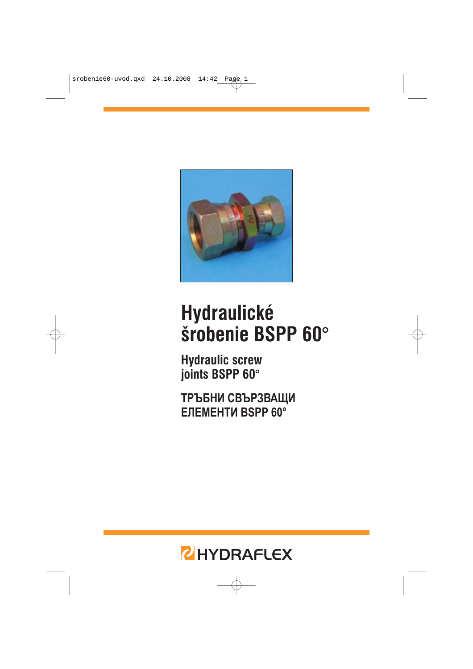

# **Hydraulické** šrobenie BSPP 60°

**Hydraulic screw** joints BSPP 60°

ТРЪБНИ СВЪРЗВАЩИ **ENEMEHTH BSPP 60°** 

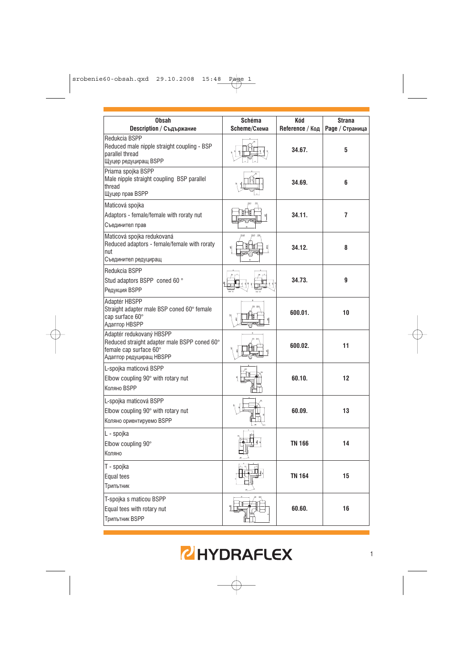| <b>Obsah</b><br>Description / Съдържание                                                                                      | Schéma<br>Scheme/Схема | Kód<br>Reference / Код | Strana<br>Раде / Страница |
|-------------------------------------------------------------------------------------------------------------------------------|------------------------|------------------------|---------------------------|
| Redukcia BSPP<br>Reduced male nipple straight coupling - BSP<br>parallel thread<br>Щуцер редуциращ BSPP                       |                        | 34.67.                 | 5                         |
| Priama spojka BSPP<br>Male nipple straight coupling BSP parallel<br>thread<br>Щуцер прав BSPP                                 |                        | 34.69.                 | 6                         |
| Maticová spojka<br>Adaptors - female/female with roraty nut<br>Съединител прав                                                |                        | 34.11.                 | 7                         |
| Maticová spojka redukovaná<br>Reduced adaptors - female/female with roraty<br>nut<br>Съединител редуциращ                     |                        | 34.12.                 | 8                         |
| Redukcia BSPP<br>Stud adaptors BSPP coned 60 °<br>Редукция BSPP                                                               |                        | 34.73.                 | 9                         |
| Adaptér HBSPP<br>Straight adapter male BSP coned 60° female<br>cap surface 60°<br>Адаптор HBSPP                               |                        | 600.01.                | 10                        |
| Adaptér redukovaný HBSPP<br>Reduced straight adapter male BSPP coned 60°<br>female cap surface 60°<br>Адаптор редуциращ HBSPP |                        | 600.02.                | 11                        |
| L-spojka maticová BSPP<br>Elbow coupling 90° with rotary nut<br>Коляно BSPP                                                   |                        | 60.10.                 | 12                        |
| L-spojka maticová BSPP<br>Elbow coupling 90° with rotary nut<br>Коляно ориентируемо BSPP                                      |                        | 60.09.                 | 13                        |
| L - spojka<br>Elbow coupling 90°<br>Коляно                                                                                    |                        | <b>TN 166</b>          | 14                        |
| T - spojka<br>Equal tees<br>Трипътник                                                                                         | 甴<br>ے م               | <b>TN 164</b>          | 15                        |
| T-spojka s maticou BSPP<br>Equal tees with rotary nut<br><b>Трипътник BSPP</b>                                                |                        | 60.60.                 | 16                        |

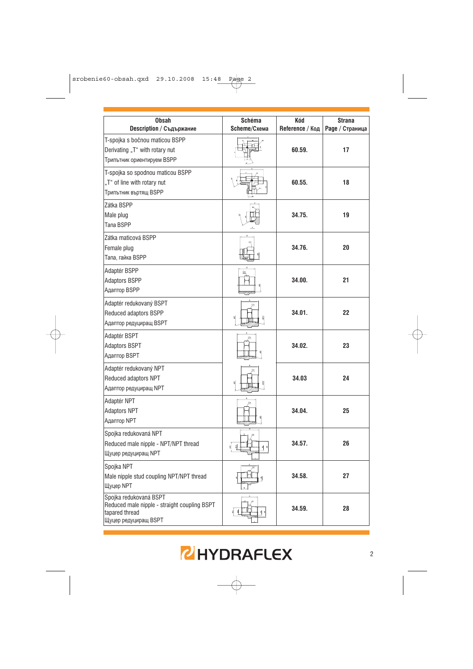| <b>Obsah</b><br>Description / Съдържание                                                                         | Schéma<br>Scheme/Схема | Kód<br>Reference / Код | <b>Strana</b><br>Раде / Страница |
|------------------------------------------------------------------------------------------------------------------|------------------------|------------------------|----------------------------------|
| T-spojka s bočnou maticou BSPP<br>Derivating "T" with rotary nut<br>Трипътник ориентируем BSPP                   |                        | 60.59.                 | 17                               |
| T-spojka so spodnou maticou BSPP<br>"T" of line with rotary nut<br>Трипътник въртящ BSPP                         |                        | 60.55.                 | 18                               |
| Zátka BSPP<br>Male plug<br>Tana BSPP                                                                             |                        | 34.75.                 | 19                               |
| Zátka maticová BSPP<br>Female plug<br>Тапа, гайка BSPP                                                           |                        | 34.76.                 | 20                               |
| Adaptér BSPP<br><b>Adaptors BSPP</b><br>Адаптор BSPP                                                             |                        | 34.00.                 | 21                               |
| Adaptér redukovaný BSPT<br>Reduced adaptors BSPP<br>Адаптор редуциращ BSPT                                       |                        | 34.01.                 | 22                               |
| Adaptér BSPT<br><b>Adaptors BSPT</b><br>Адаптор BSPT                                                             |                        | 34.02.                 | 23                               |
| Adaptér redukovaný NPT<br>Reduced adaptors NPT<br><b>Адаптор редуциращ NPT</b>                                   |                        | 34.03                  | 24                               |
| Adaptér NPT<br><b>Adaptors NPT</b><br>Адаптор NPT                                                                |                        | 34.04.                 | 25                               |
| Spojka redukovaná NPT<br>Reduced male nipple - NPT/NPT thread<br><b>Шуцер редуциращ NPT</b>                      | ᅨ                      | 34.57.                 | 26                               |
| Spojka NPT<br>Male nipple stud coupling NPT/NPT thread<br>Щуцер NPT                                              | д                      | 34.58.                 | 27                               |
| Spojka redukovaná BSPT<br>Reduced male nipple - straight coupling BSPT<br>tapared thread<br>Щуцер редуциращ BSPT |                        | 34.59.                 | 28                               |

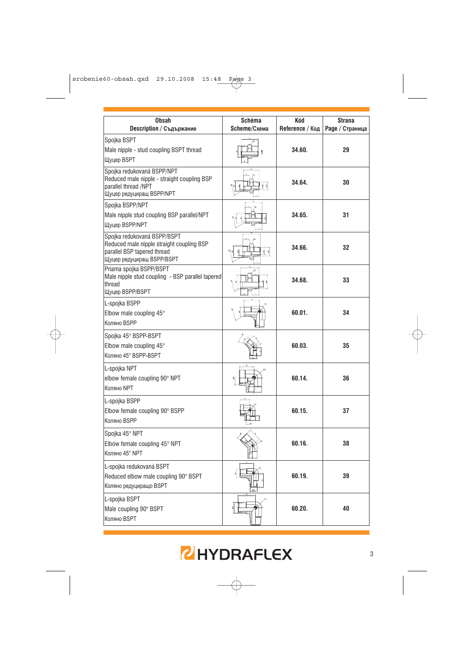

| <b>Obsah</b><br>Description / Съдържание                                                                                             | Schéma<br>Scheme/Схема | Kód<br>Reference / Код | <b>Strana</b><br>Раде / Страница |
|--------------------------------------------------------------------------------------------------------------------------------------|------------------------|------------------------|----------------------------------|
| Spojka BSPT<br>Male nipple - stud coupling BSPT thread<br><b>Шуцер BSPT</b>                                                          |                        | 34.60.                 | 29                               |
| Spojka redukovaná BSPP/NPT<br>Reduced male nipple - straight coupling BSP<br>parallel thread /NPT<br>Щуцер редуциращ BSPP/NPT        | 비회                     | 34.64.                 | 30                               |
| Spojka BSPP/NPT<br>Male nipple stud coupling BSP parallel/NPT<br>Щуцер BSPP/NPT                                                      | ╣                      | 34.65.                 | 31                               |
| Spojka redukovaná BSPP/BSPT<br>Reduced male nipple straight coupling BSP<br>parallel BSP tapered thread<br>Щуцер редуциращ BSPP/BSPT | 외의                     | 34.66.                 | 32                               |
| Priama spojka BSPP/BSPT<br>Male nipple stud coupling - BSP parallel tapered<br>thread<br>Щуцер BSPP/BSPT                             |                        | 34.68.                 | 33                               |
| L-spojka BSPP<br>Elbow male coupling $45^\circ$<br>Коляно BSPP                                                                       |                        | 60.01.                 | 34                               |
| Spojka 45° BSPP-BSPT<br>Elbow male coupling $45^\circ$<br>Коляно 45° BSPP-BSPT                                                       |                        | 60.03.                 | 35                               |
| L-spojka NPT<br>elbow female coupling 90° NPT<br>Коляно NPT                                                                          |                        | 60.14.                 | 36                               |
| L-spojka BSPP<br>Elbow female coupling 90° BSPP<br>Коляно BSPP                                                                       |                        | 60.15.                 | 37                               |
| Spojka 45° NPT<br>Elbow female coupling $45^{\circ}$ NPT<br>Коляно 45° NPT                                                           |                        | 60.16.                 | 38                               |
| L-spojka redukovaná BSPT<br>Reduced elbow male coupling 90° BSPT<br>Коляно редуциращо BSPT                                           |                        | 60.19.                 | 39                               |
| L-spojka BSPT<br>Male coupling 90° BSPT<br>Коляно BSPT                                                                               |                        | 60.20.                 | 40                               |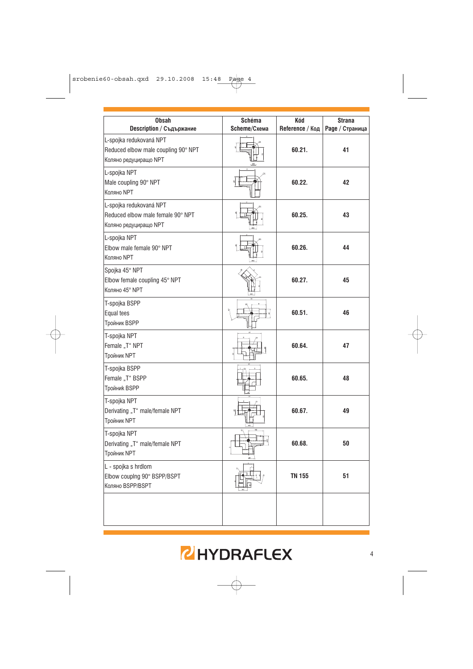| <b>Obsah</b><br>Description / Съдържание                                                | Schéma<br>Scheme/Схема | Kód<br>Reference / Код | Strana<br>Раде / Страница |
|-----------------------------------------------------------------------------------------|------------------------|------------------------|---------------------------|
| L-spojka redukovaná NPT<br>Reduced elbow male coupling 90° NPT<br>Коляно редуциращо NPT |                        | 60.21.                 | 41                        |
| L-spojka NPT<br>Male coupling 90° NPT<br>Коляно NPT                                     |                        | 60.22.                 | 42                        |
| L-spojka redukovaná NPT<br>Reduced elbow male female 90° NPT<br>Коляно редуциращо NPT   |                        | 60.25.                 | 43                        |
| L-spojka NPT<br>Elbow male female 90° NPT<br>Коляно NPT                                 |                        | 60.26.                 | 44                        |
| Spojka 45° NPT<br>Elbow female coupling 45° NPT<br>Коляно 45° NPT                       |                        | 60.27.                 | 45                        |
| T-spojka BSPP<br>Equal tees<br><b>Тройник BSPP</b>                                      |                        | 60.51.                 | 46                        |
| T-spojka NPT<br>Female "T" NPT<br><b>Тройник NPT</b>                                    |                        | 60.64.                 | 47                        |
| T-spojka BSPP<br>Female "T" BSPP<br><b>Тройник BSPP</b>                                 |                        | 60.65.                 | 48                        |
| T-spojka NPT<br>Derivating "T" male/female NPT<br>Тройник NPT                           |                        | 60.67.                 | 49                        |
| T-spojka NPT<br>Derivating "T" male/female NPT<br><b>Тройник NPT</b>                    |                        | 60.68.                 | 50                        |
| L - spojka s hrdlom<br>Elbow couping 90° BSPP/BSPT<br>Коляно BSPP/BSPT                  |                        | <b>TN 155</b>          | 51                        |
|                                                                                         |                        |                        |                           |

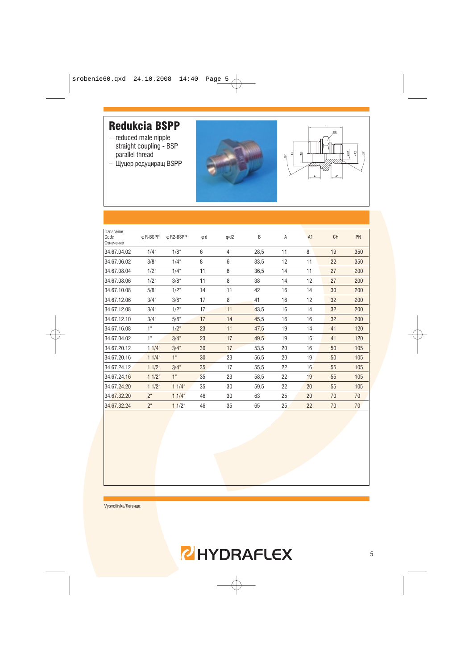#### **Redukcia BSPP**

- reduced male nipple straight coupling - BSP parallel thread
- Щуцер редуциращ BSPP





| Označenie<br>Code<br>Означение | ф R-BSPP       | ф R2-BSPP           | φd | $\phi$ d2      | B    | A  | A1 | CH | PN  |
|--------------------------------|----------------|---------------------|----|----------------|------|----|----|----|-----|
| 34.67.04.02                    | $1/4$ "        | 1/8 <sup>4</sup>    | 6  | $\overline{4}$ | 28,5 | 11 | 8  | 19 | 350 |
| 34.67.06.02                    | $3/8$ "        | $1/4$ "             | 8  | 6              | 33,5 | 12 | 11 | 22 | 350 |
| 34.67.08.04                    | $1/2$ "        | $1/4$ "             | 11 | 6              | 36,5 | 14 | 11 | 27 | 200 |
| 34.67.08.06                    | $1/2$ "        | $3/8$ "             | 11 | 8              | 38   | 14 | 12 | 27 | 200 |
| 34.67.10.08                    | $5/8$ "        | $1/2^{\circ}$       | 14 | 11             | 42   | 16 | 14 | 30 | 200 |
| 34.67.12.06                    | $3/4$ "        | $3/8$ "             | 17 | 8              | 41   | 16 | 12 | 32 | 200 |
| 34.67.12.08                    | $3/4$ "        | $1/2^{\circ}$       | 17 | 11             | 43,5 | 16 | 14 | 32 | 200 |
| 34.67.12.10                    | $3/4$ "        | $5/8$ "             | 17 | 14             | 45,5 | 16 | 16 | 32 | 200 |
| 34.67.16.08                    | 1 <sup>u</sup> | $1/2^u$             | 23 | 11             | 47,5 | 19 | 14 | 41 | 120 |
| 34.67.04.02                    | 1 <sup>u</sup> | $3/4$ "             | 23 | 17             | 49,5 | 19 | 16 | 41 | 120 |
| 34.67.20.12                    | $11/4$ "       | $3/4$ "             | 30 | 17             | 53,5 | 20 | 16 | 50 | 105 |
| 34.67.20.16                    | $11/4$ "       | 1 <sup>u</sup>      | 30 | 23             | 56,5 | 20 | 19 | 50 | 105 |
| 34.67.24.12                    | $11/2$ "       | $3/4$ "             | 35 | 17             | 55,5 | 22 | 16 | 55 | 105 |
| 34.67.24.16                    | $11/2$ "       | 1 <sup>u</sup>      | 35 | 23             | 58,5 | 22 | 19 | 55 | 105 |
| 34.67.24.20                    | $11/2$ "       | $11/4$ "            | 35 | 30             | 59,5 | 22 | 20 | 55 | 105 |
| 34.67.32.20                    | 2 <sup>u</sup> | $11/4$ "            | 46 | 30             | 63   | 25 | 20 | 70 | 70  |
| 34.67.32.24                    | 2 <sup>u</sup> | $11/2$ <sup>"</sup> | 46 | 35             | 65   | 25 | 22 | 70 | 70  |
|                                |                |                     |    |                |      |    |    |    |     |

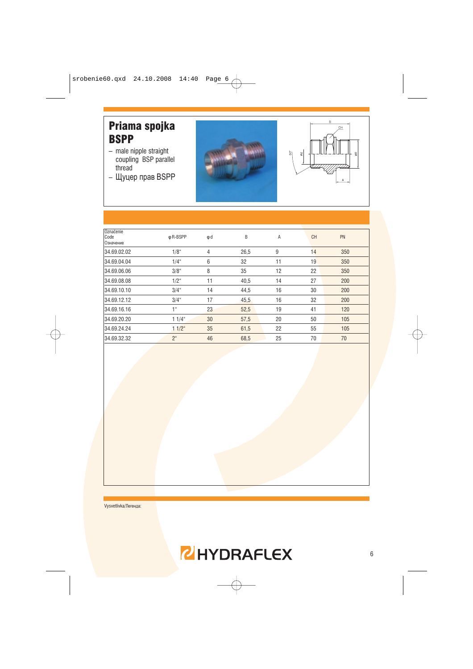#### Priama spojka **BSPP**

- male nipple straight coupling BSP parallel thread
- Щуцер прав BSPP





| Označenie<br>Code<br>Означение | ф R-BSPP         | φd | B    | A  | <b>CH</b> | PN  |
|--------------------------------|------------------|----|------|----|-----------|-----|
| 34.69.02.02                    | 1/8 <sup>4</sup> | 4  | 26,5 | 9  | 14        | 350 |
| 34.69.04.04                    | $1/4$ "          | 6  | 32   | 11 | 19        | 350 |
| 34.69.06.06                    | $3/8$ "          | 8  | 35   | 12 | 22        | 350 |
| 34.69.08.08                    | $1/2^{\circ}$    | 11 | 40,5 | 14 | 27        | 200 |
| 34.69.10.10                    | $3/4$ "          | 14 | 44,5 | 16 | 30        | 200 |
| 34.69.12.12                    | $3/4$ "          | 17 | 45,5 | 16 | 32        | 200 |
| 34.69.16.16                    | 1 <sup>u</sup>   | 23 | 52,5 | 19 | 41        | 120 |
| 34.69.20.20                    | $11/4$ "         | 30 | 57,5 | 20 | 50        | 105 |
| 34.69.24.24                    | $11/2$ "         | 35 | 61,5 | 22 | 55        | 105 |
| 34.69.32.32                    | 2 <sup>u</sup>   | 46 | 68,5 | 25 | 70        | 70  |

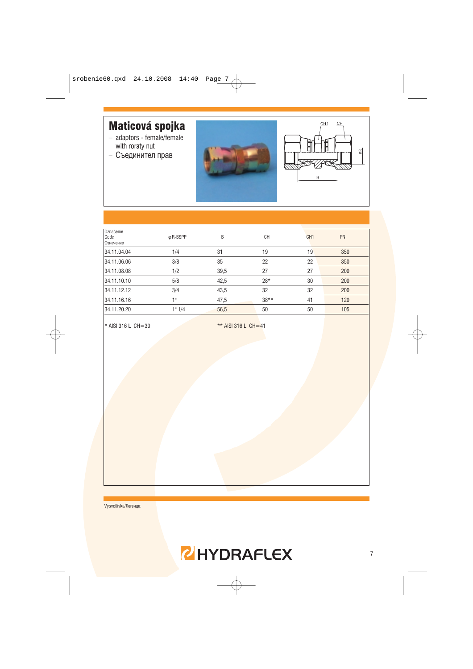#### Maticová spojka

- adaptors female/female with roraty nut
- Съединител прав





| Označenie         |          |      |        |                 |           |
|-------------------|----------|------|--------|-----------------|-----------|
| Code<br>Означение | φ R-BSPP | B    | CН     | CH <sub>1</sub> | <b>PN</b> |
| 34.11.04.04       | 1/4      | 31   | 19     | 19              | 350       |
| 34.11.06.06       | 3/8      | 35   | 22     | 22              | 350       |
| 34.11.08.08       | 1/2      | 39,5 | 27     | 27              | 200       |
| 34.11.10.10       | 5/8      | 42,5 | $28*$  | 30              | 200       |
| 34.11.12.12       | 3/4      | 43,5 | 32     | 32              | 200       |
| 34.11.16.16       | 1"       | 47,5 | $38**$ | 41              | 120       |
| 34.11.20.20       | 1" 1/4   | 56,5 | 50     | 50              | 105       |
|                   |          |      |        |                 |           |

\* AISI 316 L CH=30

\*\* AISI 316 L CH=41

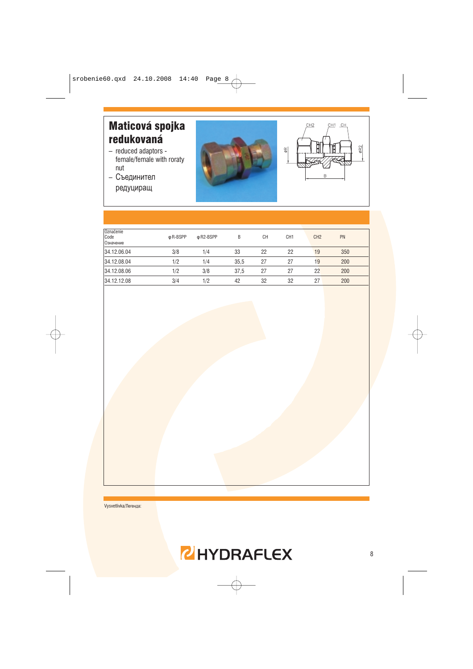# Maticová spojka redukovaná

- reduced adaptors female/female with roraty nut
- Съединител редуциращ





| Označenie<br>Code<br>Означение | ф R-BSPP | ф R2-BSPP | B    | <b>CH</b> | CH <sub>1</sub> | CH <sub>2</sub> | <b>PN</b> |  |
|--------------------------------|----------|-----------|------|-----------|-----------------|-----------------|-----------|--|
| 34.12.06.04                    | 3/8      | 1/4       | 33   | 22        | 22              | 19              | 350       |  |
| 34.12.08.04                    | 1/2      | 1/4       | 35,5 | 27        | 27              | 19              | 200       |  |
| 34.12.08.06                    | 1/2      | 3/8       | 37.5 | 27        | 27              | 22              | 200       |  |
| 34.12.12.08                    | 3/4      | 1/2       | 42   | 32        | 32              | 27              | 200       |  |
|                                |          |           |      |           |                 |                 |           |  |

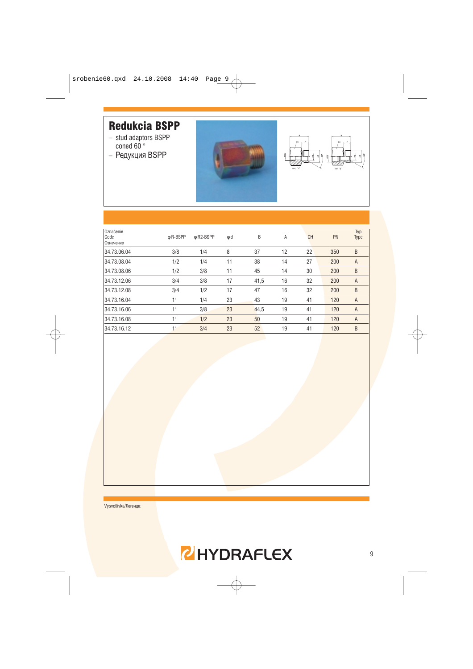#### **Redukcia BSPP**

- stud adaptors BSPP<br>coned 60 °
- Редукция BSPP





| Označenie<br>Code<br>Означение | ф R-BSPP | φ R2-BSPP | φd | B    | Α  | <b>CH</b> | PN  | Typ<br>Type |
|--------------------------------|----------|-----------|----|------|----|-----------|-----|-------------|
| 34.73.06.04                    | 3/8      | 1/4       | 8  | 37   | 12 | 22        | 350 | B           |
| 34.73.08.04                    | 1/2      | 1/4       | 11 | 38   | 14 | 27        | 200 | A           |
| 34.73.08.06                    | 1/2      | 3/8       | 11 | 45   | 14 | 30        | 200 | B           |
| 34.73.12.06                    | 3/4      | 3/8       | 17 | 41,5 | 16 | 32        | 200 | A           |
| 34.73.12.08                    | 3/4      | 1/2       | 17 | 47   | 16 | 32        | 200 | B           |
| 34.73.16.04                    | 1"       | 1/4       | 23 | 43   | 19 | 41        | 120 | A           |
| 34.73.16.06                    | 1 !!     | 3/8       | 23 | 44,5 | 19 | 41        | 120 | A           |
| 34.73.16.08                    | 18       | 1/2       | 23 | 50   | 19 | 41        | 120 | A           |
| 34.73.16.12                    | 1"       | 3/4       | 23 | 52   | 19 | 41        | 120 | B           |
|                                |          |           |    |      |    |           |     |             |

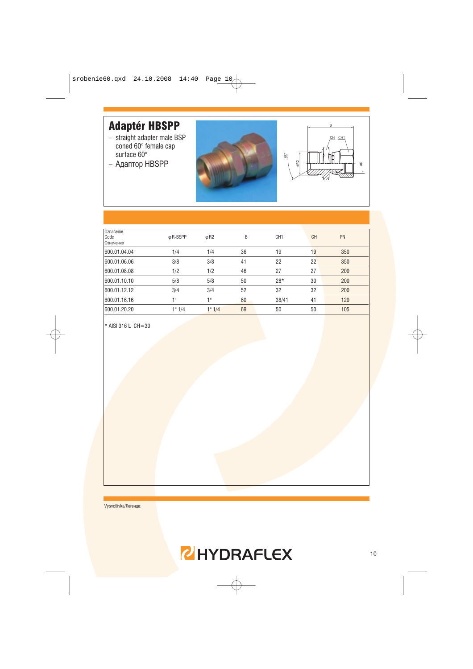#### **Adaptér HBSPP**

- straight adapter male BSP coned 60° female cap surface 60°
- Адаптор HBSPP





| Označenie<br>Code<br>Означение | ф R-BSPP | $\phi$ R <sub>2</sub> | B  | CH <sub>1</sub> | <b>CH</b> | PN  |
|--------------------------------|----------|-----------------------|----|-----------------|-----------|-----|
| 600.01.04.04                   | 1/4      | 1/4                   | 36 | 19              | 19        | 350 |
| 600.01.06.06                   | 3/8      | 3/8                   | 41 | 22              | 22        | 350 |
| 600.01.08.08                   | 1/2      | 1/2                   | 46 | 27              | 27        | 200 |
| 600.01.10.10                   | 5/8      | 5/8                   | 50 | $28*$           | 30        | 200 |
| 600.01.12.12                   | 3/4      | 3/4                   | 52 | 32              | 32        | 200 |
| 600.01.16.16                   | 1 !!     | 18                    | 60 | 38/41           | 41        | 120 |
| 600.01.20.20                   | 1" 1/4   | 1" 1/4                | 69 | 50              | 50        | 105 |
|                                |          |                       |    |                 |           |     |

\* AISI 316 L CH=30

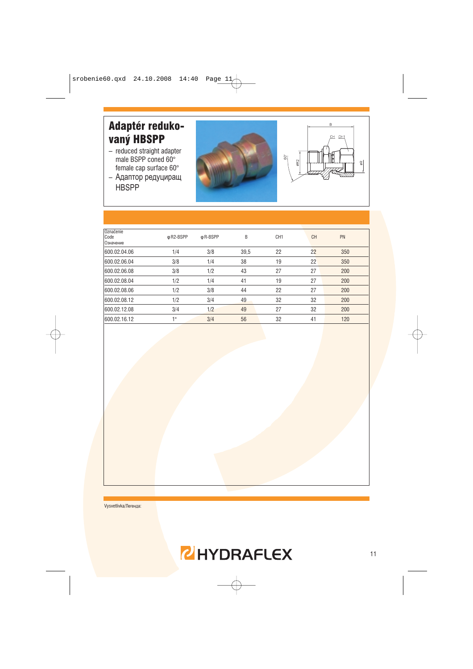# Adaptér redukovaný HBSPP

- reduced straight adapter male BSPP coned 60° female cap surface 60°
- Адаптор редуциращ **HBSPP**





| Označenie<br>Code<br>Означение | ф R2-BSPP | φ R-BSPP | B    | CH <sub>1</sub> | <b>CH</b> | PN  |
|--------------------------------|-----------|----------|------|-----------------|-----------|-----|
| 600.02.04.06                   | 1/4       | 3/8      | 39,5 | 22              | 22        | 350 |
| 600.02.06.04                   | 3/8       | 1/4      | 38   | 19              | 22        | 350 |
| 600.02.06.08                   | 3/8       | 1/2      | 43   | 27              | 27        | 200 |
| 600.02.08.04                   | 1/2       | 1/4      | 41   | 19              | 27        | 200 |
| 600.02.08.06                   | 1/2       | 3/8      | 44   | 22              | 27        | 200 |
| 600.02.08.12                   | 1/2       | 3/4      | 49   | 32              | 32        | 200 |
| 600.02.12.08                   | 3/4       | 1/2      | 49   | 27              | 32        | 200 |
| 600.02.16.12                   | 1 !!      | 3/4      | 56   | 32              | 41        | 120 |
|                                |           |          |      |                 |           |     |

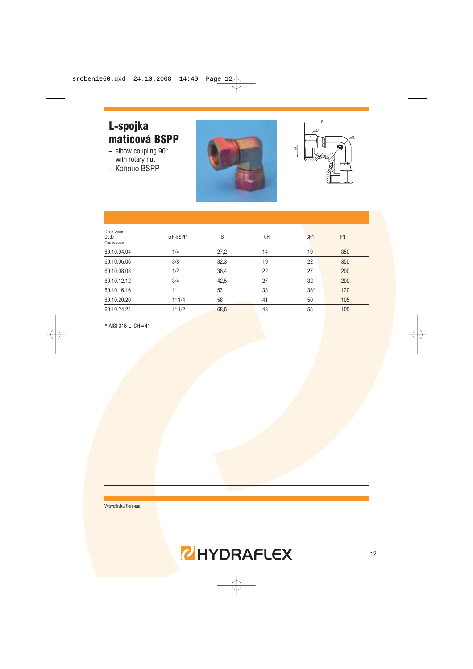#### L-spojka maticová BSPP

- $-$  elbow coupling 90 $\degree$ <br>with rotary nut
- $-$  Коляно BSPP





| Označenie<br>Code<br>Означение | φ R-BSPP | B    | <b>CH</b> | CH <sub>1</sub> | PN  |
|--------------------------------|----------|------|-----------|-----------------|-----|
| 60.10.04.04                    | 1/4      | 27,2 | 14        | 19              | 350 |
| 60.10.06.06                    | 3/8      | 32,3 | 19        | 22              | 350 |
| 60.10.08.08                    | 1/2      | 36,4 | 22        | 27              | 200 |
| 60.10.12.12                    | 3/4      | 42,5 | 27        | 32              | 200 |
| 60.10.16.16                    | 1"       | 53   | 33        | $38*$           | 120 |
| 60.10.20.20                    | 1" 1/4   | 58   | 41        | 50              | 105 |
| 60.10.24.24                    | 1" 1/2   | 68,5 | 48        | 55              | 105 |
|                                |          |      |           |                 |     |

\* AISI 316 L CH=41

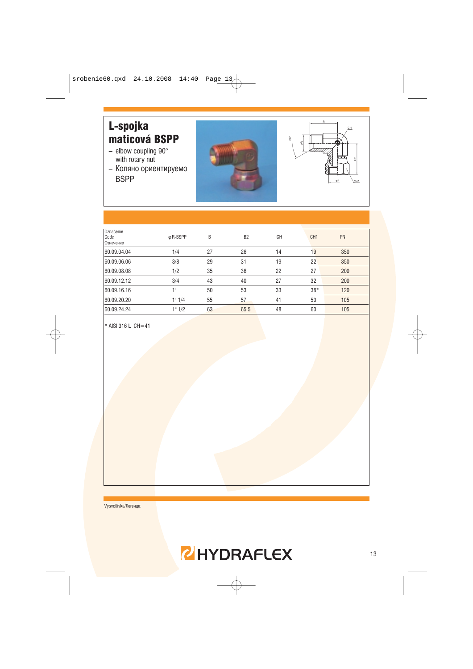# L-spojka maticová BSPP

- $-$  elbow coupling 90 $^{\circ}$ with rotary nut
- Коляно ориентируемо **BSPP**





| Označenie<br>Code<br>Означение | φ R-BSPP | B  | B <sub>2</sub> | <b>CH</b> | CH <sub>1</sub> | PN  |  |
|--------------------------------|----------|----|----------------|-----------|-----------------|-----|--|
| 60.09.04.04                    | 1/4      | 27 | 26             | 14        | 19              | 350 |  |
| 60.09.06.06                    | 3/8      | 29 | 31             | 19        | 22              | 350 |  |
| 60.09.08.08                    | 1/2      | 35 | 36             | 22        | 27              | 200 |  |
| 60.09.12.12                    | 3/4      | 43 | 40             | 27        | 32              | 200 |  |
| 60.09.16.16                    | 1 !!     | 50 | 53             | 33        | $38*$           | 120 |  |
| 60.09.20.20                    | 1" 1/4   | 55 | 57             | 41        | 50              | 105 |  |
| 60.09.24.24                    | 1" 1/2   | 63 | 65,5           | 48        | 60              | 105 |  |
|                                |          |    |                |           |                 |     |  |

\* AISI 316 L CH=41

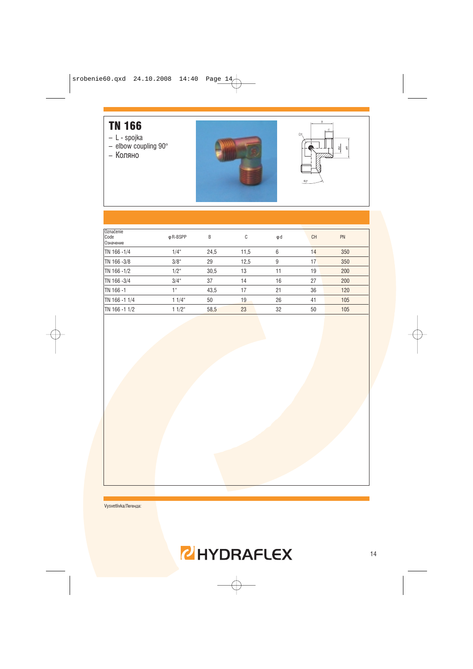#### **TN 166**

- 
- L spojka<br>– elbow coupling 90°
- Коляно





| Označenie<br>Code<br>Означение | φ R-BSPP        | B    | С    | φd | <b>CH</b> | PN  |
|--------------------------------|-----------------|------|------|----|-----------|-----|
| TN 166-1/4                     | $1/4$ "         | 24,5 | 11,5 | 6  | 14        | 350 |
| TN 166-3/8                     | $3/8$ "         | 29   | 12,5 | 9  | 17        | 350 |
| TN 166-1/2                     | $1/2^{\circ}$   | 30,5 | 13   | 11 | 19        | 200 |
| TN 166-3/4                     | $3/4$ "         | 37   | 14   | 16 | 27        | 200 |
| TN 166-1                       | 1 <sup>ii</sup> | 43,5 | 17   | 21 | 36        | 120 |
| TN 166-11/4                    | $11/4$ "        | 50   | 19   | 26 | 41        | 105 |
| TN 166-11/2                    | $11/2$ "        | 58,5 | 23   | 32 | 50        | 105 |
|                                |                 |      |      |    |           |     |

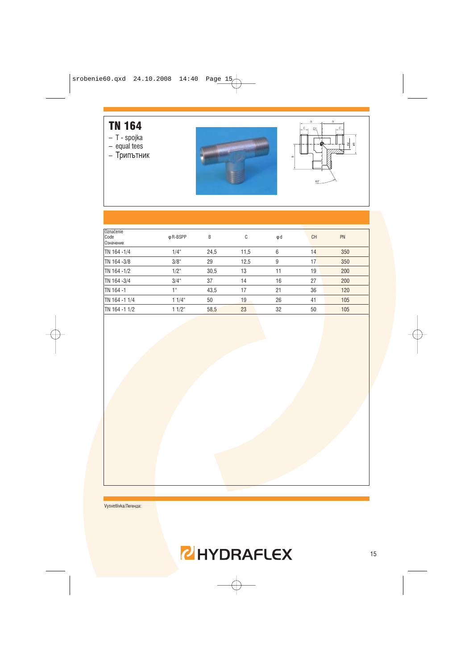#### **TN 164**

- T spojka<br>- equal tees
- 
- Трипътник





| Označenie<br>Code<br>Означение | ф R-BSPP      | B    | C    | φd | <b>CH</b> | PN  |
|--------------------------------|---------------|------|------|----|-----------|-----|
| TN 164-1/4                     | $1/4$ "       | 24,5 | 11,5 | 6  | 14        | 350 |
| TN 164-3/8                     | $3/8$ "       | 29   | 12,5 | 9  | 17        | 350 |
| TN 164-1/2                     | $1/2^{\circ}$ | 30,5 | 13   | 11 | 19        | 200 |
| TN 164-3/4                     | $3/4$ "       | 37   | 14   | 16 | 27        | 200 |
| TN 164-1                       | 1"            | 43,5 | 17   | 21 | 36        | 120 |
| TN 164-11/4                    | $11/4$ "      | 50   | 19   | 26 | 41        | 105 |
| TN 164 -1 1/2                  | $11/2$ "      | 58,5 | 23   | 32 | 50        | 105 |
|                                |               |      |      |    |           |     |

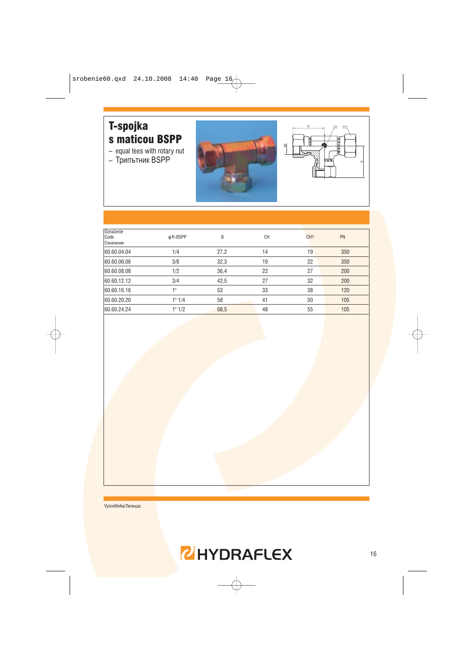#### T-spojka s maticou BSPP

- equal tees with rotary nut
- Трипътник BSPP





| Označenie<br>Code<br>Означение | φ R-BSPP | B    | СH | CH <sub>1</sub> | PN  |
|--------------------------------|----------|------|----|-----------------|-----|
| 60.60.04.04                    | 1/4      | 27,2 | 14 | 19              | 350 |
| 60.60.06.06                    | 3/8      | 32,3 | 19 | 22              | 350 |
| 60.60.08.08                    | 1/2      | 36,4 | 22 | 27              | 200 |
| 60.60.12.12                    | 3/4      | 42,5 | 27 | 32              | 200 |
| 60.60.16.16                    | 4 !!     | 53   | 33 | 38              | 120 |
| 60.60.20.20                    | 1" 1/4   | 58   | 41 | 50              | 105 |
| 60.60.24.24                    | 1" 1/2   | 68,5 | 48 | 55              | 105 |
|                                |          |      |    |                 |     |

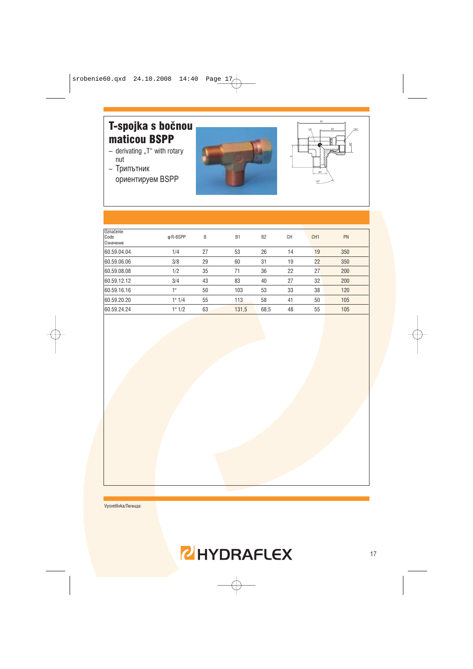# T-spojka s bočnou maticou BSPP

- derivating "T" with rotary nut
- Трипътник ориентируем BSPP





| Označenie<br>Code<br>Означение | φ R-BSPP | B  | B <sub>1</sub> | B <sub>2</sub> | <b>CH</b> | CH <sub>1</sub> | PN  |
|--------------------------------|----------|----|----------------|----------------|-----------|-----------------|-----|
| 60.59.04.04                    | 1/4      | 27 | 53             | 26             | 14        | 19              | 350 |
| 60.59.06.06                    | 3/8      | 29 | 60             | 31             | 19        | 22              | 350 |
| 60.59.08.08                    | 1/2      | 35 | 71             | 36             | 22        | 27              | 200 |
| 60.59.12.12                    | 3/4      | 43 | 83             | 40             | 27        | 32              | 200 |
| 60.59.16.16                    | 1 !!     | 50 | 103            | 53             | 33        | 38              | 120 |
| 60.59.20.20                    | 1" 1/4   | 55 | 113            | 58             | 41        | 50              | 105 |
| 60.59.24.24                    | 1" 1/2   | 63 | 131,5          | 68,5           | 48        | 55              | 105 |
|                                |          |    |                |                |           |                 |     |

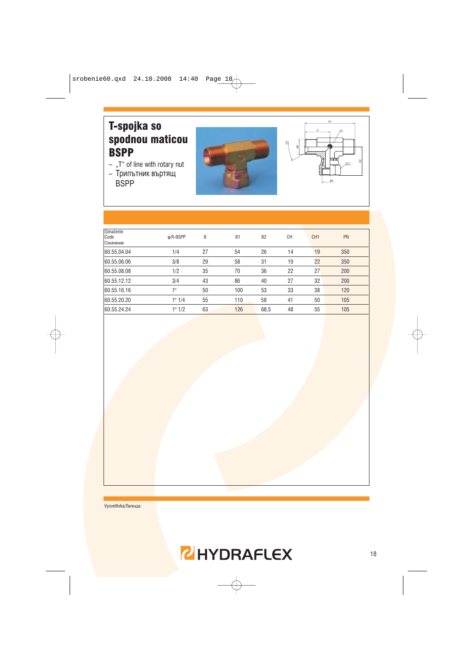#### T-spojka so spodnou maticou **BSPP**

- $-$  "T" of line with rotary nut
- Трипътник въртящ **BSPP**





| Označenie<br>Code<br>Означение | φ R-BSPP | B  | B <sub>1</sub> | B <sub>2</sub> | <b>CH</b> | CH <sub>1</sub> | PN  |  |
|--------------------------------|----------|----|----------------|----------------|-----------|-----------------|-----|--|
| 60.55.04.04                    | 1/4      | 27 | 54             | 26             | 14        | 19              | 350 |  |
| 60.55.06.06                    | 3/8      | 29 | 58             | 31             | 19        | 22              | 350 |  |
| 60.55.08.08                    | 1/2      | 35 | 70             | 36             | 22        | 27              | 200 |  |
| 60.55.12.12                    | 3/4      | 43 | 86             | 40             | 27        | 32              | 200 |  |
| 60.55.16.16                    | 1 !!     | 50 | 100            | 53             | 33        | 38              | 120 |  |
| 60.55.20.20                    | 1" 1/4   | 55 | 110            | 58             | 41        | 50              | 105 |  |
| 60.55.24.24                    | 1" 1/2   | 63 | 126            | 68,5           | 48        | 55              | 105 |  |
|                                |          |    |                |                |           |                 |     |  |

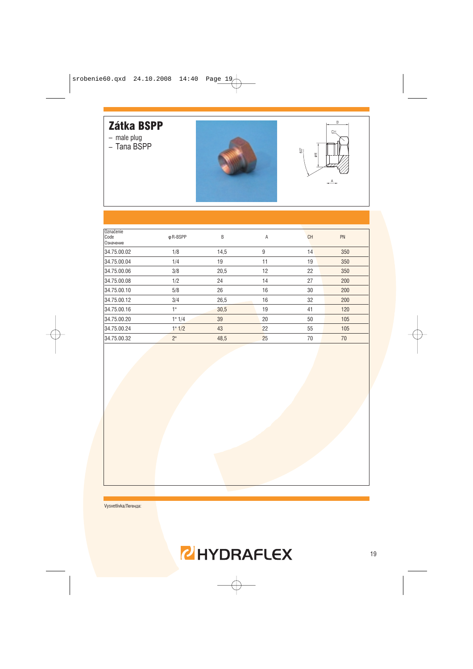#### Zátka BSPP

- 
- male plug<br>– Тапа BSPP





| Označenie<br>Code<br>Означение | φ R-BSPP        | B    | Α  | <b>CH</b> | PN  |
|--------------------------------|-----------------|------|----|-----------|-----|
| 34.75.00.02                    | 1/8             | 14,5 | 9  | 14        | 350 |
| 34.75.00.04                    | 1/4             | 19   | 11 | 19        | 350 |
| 34.75.00.06                    | 3/8             | 20,5 | 12 | 22        | 350 |
| 34.75.00.08                    | 1/2             | 24   | 14 | 27        | 200 |
| 34.75.00.10                    | 5/8             | 26   | 16 | 30        | 200 |
| 34.75.00.12                    | 3/4             | 26,5 | 16 | 32        | 200 |
| 34.75.00.16                    | 1"              | 30,5 | 19 | 41        | 120 |
| 34.75.00.20                    | 1" 1/4          | 39   | 20 | 50        | 105 |
| 34.75.00.24                    | 1" 1/2          | 43   | 22 | 55        | 105 |
| 34.75.00.32                    | 2 <sup>11</sup> | 48,5 | 25 | 70        | 70  |

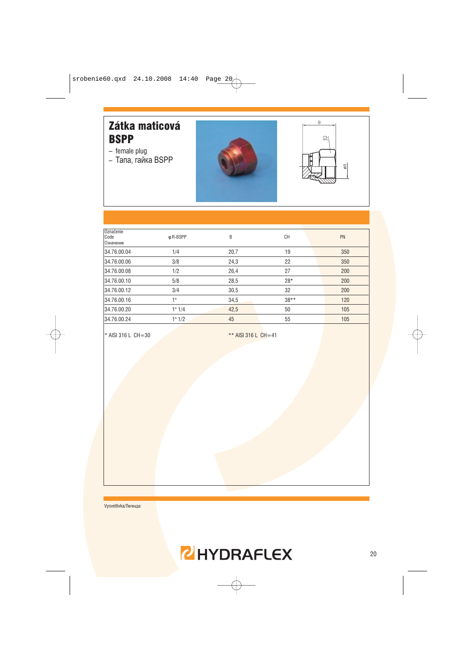#### Zátka maticová **BSPP**

- $-$  female plug
- $-$  Тапа, гайка BSPP





| Označenie<br>Code<br>Означение | φ R-BSPP | B    | <b>CH</b> | PN  |
|--------------------------------|----------|------|-----------|-----|
| 34.76.00.04                    | 1/4      | 20,7 | 19        | 350 |
| 34.76.00.06                    | 3/8      | 24,3 | 22        | 350 |
| 34.76.00.08                    | 1/2      | 26,4 | 27        | 200 |
| 34.76.00.10                    | 5/8      | 28,5 | $28*$     | 200 |
| 34.76.00.12                    | 3/4      | 30,5 | 32        | 200 |
| 34.76.00.16                    | 1"       | 34,5 | $38***$   | 120 |
| 34.76.00.20                    | 1" 1/4   | 42,5 | 50        | 105 |
| 34.76.00.24                    | 1" 1/2   | 45   | 55        | 105 |
|                                |          |      |           |     |

\* AISI 316 L CH=30

\*\* AISI 316 L CH=41

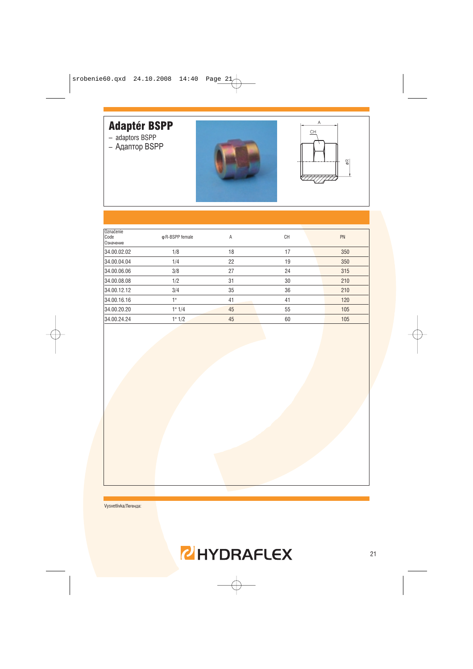# **Adaptér BSPP**

- adaptors BSPP
- Адаптор BSPP





| Označenie<br>Code<br>Означение | ф R-BSPP female | Α  | <b>CH</b> | PN  |
|--------------------------------|-----------------|----|-----------|-----|
| 34.00.02.02                    | 1/8             | 18 | 17        | 350 |
| 34.00.04.04                    | 1/4             | 22 | 19        | 350 |
| 34.00.06.06                    | 3/8             | 27 | 24        | 315 |
| 34.00.08.08                    | 1/2             | 31 | 30        | 210 |
| 34.00.12.12                    | 3/4             | 35 | 36        | 210 |
| 34.00.16.16                    | 1 <sup>II</sup> | 41 | 41        | 120 |
| 34.00.20.20                    | 1" 1/4          | 45 | 55        | 105 |
| 34.00.24.24                    | 1" 1/2          | 45 | 60        | 105 |
|                                |                 |    |           |     |

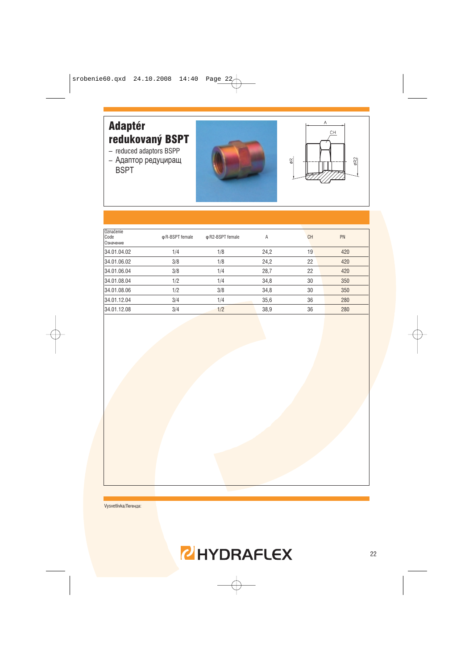# **Adaptér** redukovaný BSPT

- reduced adaptors BSPP
- Адаптор редуциращ **BSPT**





| Označenie<br>Code<br>Означение | o R-BSPT female | ф R2-BSPT female | Α    | <b>CH</b> | PN  |
|--------------------------------|-----------------|------------------|------|-----------|-----|
| 34.01.04.02                    | 1/4             | 1/8              | 24,2 | 19        | 420 |
| 34.01.06.02                    | 3/8             | 1/8              | 24,2 | 22        | 420 |
| 34.01.06.04                    | 3/8             | 1/4              | 28,7 | 22        | 420 |
| 34.01.08.04                    | 1/2             | 1/4              | 34,8 | 30        | 350 |
| 34.01.08.06                    | 1/2             | 3/8              | 34,8 | 30        | 350 |
| 34.01.12.04                    | 3/4             | 1/4              | 35,6 | 36        | 280 |
| 34.01.12.08                    | 3/4             | 1/2              | 38,9 | 36        | 280 |
|                                |                 |                  |      |           |     |

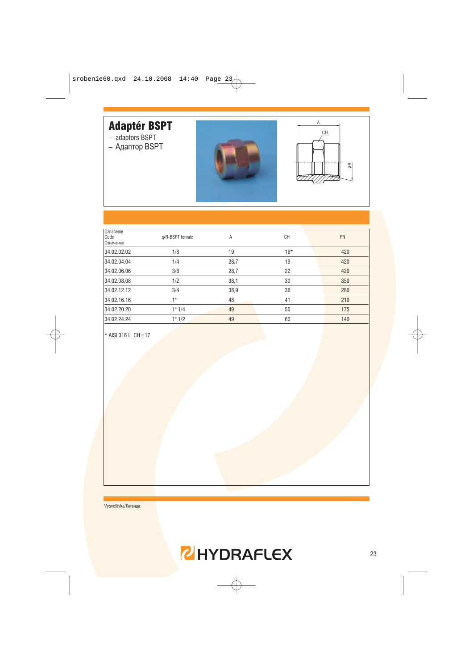# **Adaptér BSPT**

- adaptors BSPT
- Адаптор BSPT





| Označenie<br>Code<br>Означение | o R-BSPT female | Α    | <b>CH</b> | PN  |
|--------------------------------|-----------------|------|-----------|-----|
| 34.02.02.02                    | 1/8             | 19   | $16*$     | 420 |
| 34.02.04.04                    | 1/4             | 28,7 | 19        | 420 |
| 34.02.06.06                    | 3/8             | 28,7 | 22        | 420 |
| 34.02.08.08                    | 1/2             | 38,1 | 30        | 350 |
| 34.02.12.12                    | 3/4             | 38,9 | 36        | 280 |
| 34.02.16.16                    | 1 !!            | 48   | 41        | 210 |
| 34.02.20.20                    | 1" 1/4          | 49   | 50        | 175 |
| 34.02.24.24                    | 1" 1/2          | 49   | 60        | 140 |
|                                |                 |      |           |     |

\* AISI 316 L CH=17

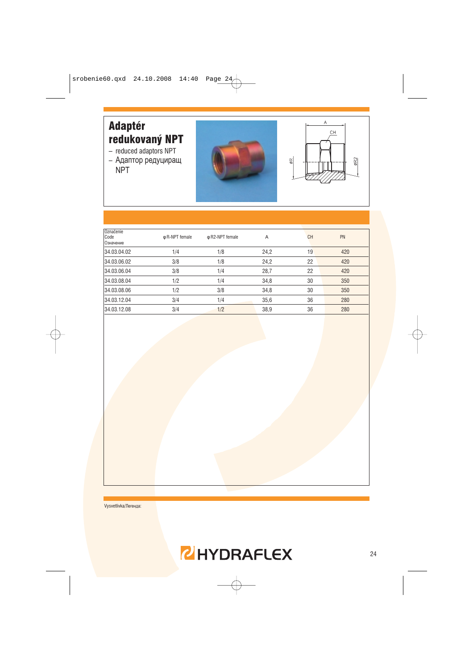#### **Adaptér** redukovaný NPT

- $-$  reduced adaptors NPT
- Адаптор редуциращ **NPT**





| Označenie<br>Code<br>Означение | o R-NPT female | φ R2-NPT female | A    | <b>CH</b> | PN  |
|--------------------------------|----------------|-----------------|------|-----------|-----|
| 34.03.04.02                    | 1/4            | 1/8             | 24,2 | 19        | 420 |
| 34.03.06.02                    | 3/8            | 1/8             | 24,2 | 22        | 420 |
| 34.03.06.04                    | 3/8            | 1/4             | 28,7 | 22        | 420 |
| 34.03.08.04                    | 1/2            | 1/4             | 34,8 | 30        | 350 |
| 34.03.08.06                    | 1/2            | 3/8             | 34,8 | 30        | 350 |
| 34.03.12.04                    | 3/4            | 1/4             | 35,6 | 36        | 280 |
| 34.03.12.08                    | 3/4            | 1/2             | 38,9 | 36        | 280 |
|                                |                |                 |      |           |     |

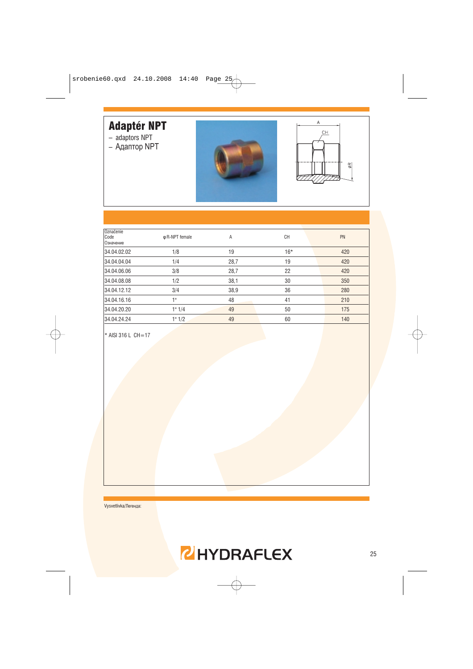# Adaptér NPT

- adaptors NPT
- Адаптор NPT





| Označenie<br>Code<br>Означение | φ R-NPT female | Α    | <b>CH</b> | PN  |
|--------------------------------|----------------|------|-----------|-----|
| 34.04.02.02                    | 1/8            | 19   | $16*$     | 420 |
| 34.04.04.04                    | 1/4            | 28,7 | 19        | 420 |
| 34.04.06.06                    | 3/8            | 28,7 | 22        | 420 |
| 34.04.08.08                    | 1/2            | 38,1 | 30        | 350 |
| 34.04.12.12                    | 3/4            | 38,9 | 36        | 280 |
| 34.04.16.16                    | 1"             | 48   | 41        | 210 |
| 34.04.20.20                    | 1" 1/4         | 49   | 50        | 175 |
| 34.04.24.24                    | 1" 1/2         | 49   | 60        | 140 |
|                                |                |      |           |     |

\* AISI 316 L CH=17

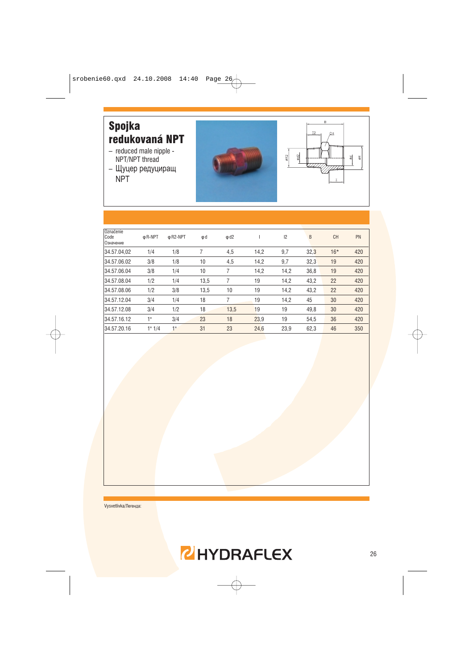

| φ R-NPT | $\phi$ R <sub>2</sub> -NPT | φd   | $\phi$ d2 |      | 12   | B    | <b>CH</b> | PN  |
|---------|----------------------------|------|-----------|------|------|------|-----------|-----|
| 1/4     | 1/8                        | 7    | 4,5       | 14,2 | 9,7  | 32,3 | $16*$     | 420 |
| 3/8     | 1/8                        | 10   | 4,5       | 14,2 | 9,7  | 32,3 | 19        | 420 |
| 3/8     | 1/4                        | 10   | 7         | 14,2 | 14,2 | 36,8 | 19        | 420 |
| 1/2     | 1/4                        | 13,5 |           | 19   | 14,2 | 43,2 | 22        | 420 |
| 1/2     | 3/8                        | 13,5 | 10        | 19   | 14,2 | 43,2 | 22        | 420 |
| 3/4     | 1/4                        | 18   | 7         | 19   | 14,2 | 45   | 30        | 420 |
| 3/4     | 1/2                        | 18   | 13,5      | 19   | 19   | 49,8 | 30        | 420 |
| 10      | 3/4                        | 23   | 18        | 23,9 | 19   | 54,5 | 36        | 420 |
| 1" 1/4  | 1"                         | 31   | 23        | 24,6 | 23,9 | 62,3 | 46        | 350 |
|         |                            |      |           |      |      |      |           |     |

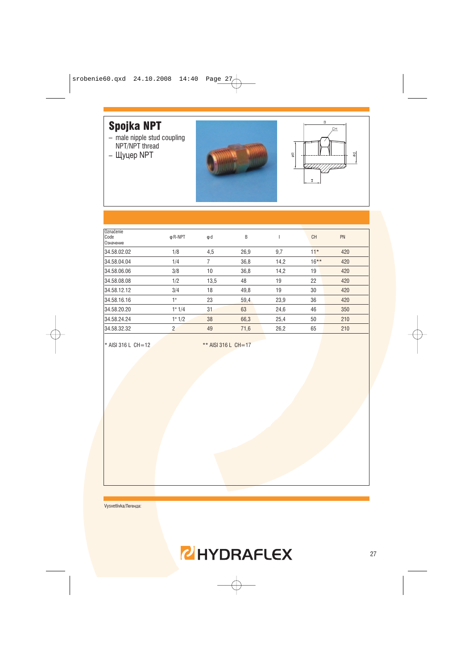# **Spojka NPT**

- male nipple stud coupling<br>NPT/NPT thread
- Щуцер NPT





| Označenie<br>Code<br>Означение | φ R-NPT        | φd   | B    |      | <b>CH</b> | PN  |
|--------------------------------|----------------|------|------|------|-----------|-----|
| 34.58.02.02                    | 1/8            | 4,5  | 26,9 | 9,7  | $11*$     | 420 |
| 34.58.04.04                    | 1/4            |      | 36,8 | 14,2 | $16***$   | 420 |
| 34.58.06.06                    | 3/8            | 10   | 36,8 | 14,2 | 19        | 420 |
| 34.58.08.08                    | 1/2            | 13,5 | 48   | 19   | 22        | 420 |
| 34.58.12.12                    | 3/4            | 18   | 49,8 | 19   | 30        | 420 |
| 34.58.16.16                    | 1"             | 23   | 59,4 | 23,9 | 36        | 420 |
| 34.58.20.20                    | 1" 1/4         | 31   | 63   | 24,6 | 46        | 350 |
| 34.58.24.24                    | 1" 1/2         | 38   | 66,3 | 25,4 | 50        | 210 |
| 34.58.32.32                    | $\overline{2}$ | 49   | 71,6 | 26,2 | 65        | 210 |

\* AISI 316 L CH=12

\*\* AISI 316 L CH=17

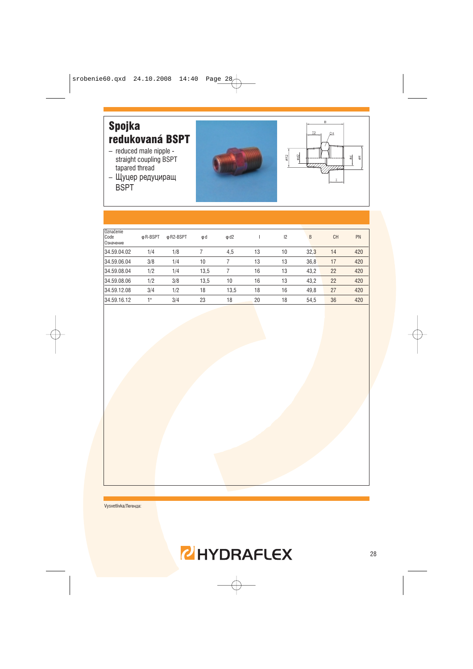

| Označenie<br>Code<br>Означение | φ R-BSPT | φ R2-BSPT | φd   | $\phi$ d2 |    | 12 | B    | <b>CH</b> | PN  |
|--------------------------------|----------|-----------|------|-----------|----|----|------|-----------|-----|
| 34.59.04.02                    | 1/4      | 1/8       |      | 4,5       | 13 | 10 | 32,3 | 14        | 420 |
| 34.59.06.04                    | 3/8      | 1/4       | 10   |           | 13 | 13 | 36,8 | 17        | 420 |
| 34.59.08.04                    | 1/2      | 1/4       | 13,5 |           | 16 | 13 | 43,2 | 22        | 420 |
| 34.59.08.06                    | 1/2      | 3/8       | 13,5 | 10        | 16 | 13 | 43,2 | 22        | 420 |
| 34.59.12.08                    | 3/4      | 1/2       | 18   | 13,5      | 18 | 16 | 49,8 | 27        | 420 |
| 34.59.16.12                    | 4 11     | 3/4       | 23   | 18        | 20 | 18 | 54,5 | 36        | 420 |
|                                |          |           |      |           |    |    |      |           |     |

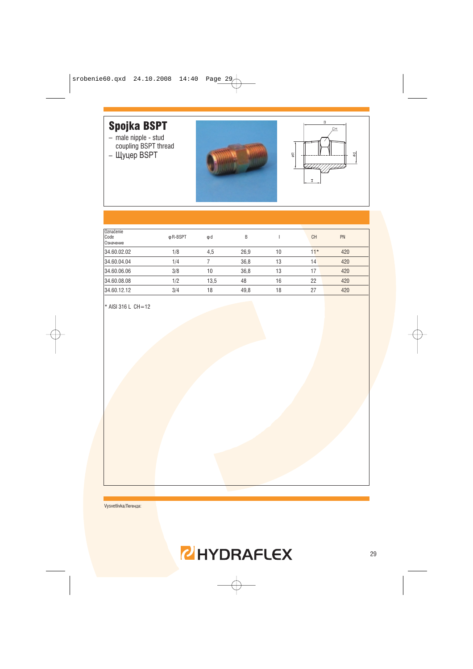# **Spojka BSPT**

- male nipple stud<br>coupling BSPT thread
- $-$  Щуцер BSPT





| Označenie<br>Code<br>Означение | φ R-BSPT | φd   | B    |    | <b>CH</b> | PN  |
|--------------------------------|----------|------|------|----|-----------|-----|
| 34.60.02.02                    | 1/8      | 4,5  | 26,9 | 10 | $11*$     | 420 |
| 34.60.04.04                    | 1/4      |      | 36,8 | 13 | 14        | 420 |
| 34.60.06.06                    | 3/8      | 10   | 36,8 | 13 | 17        | 420 |
| 34.60.08.08                    | 1/2      | 13,5 | 48   | 16 | 22        | 420 |
| 34.60.12.12                    | 3/4      | 18   | 49,8 | 18 | 27        | 420 |

\* AISI 316 L CH=12

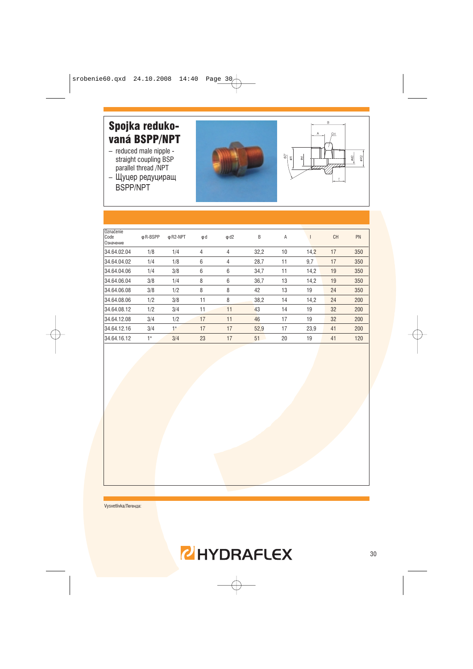# Spojka redukovaná BSPP/NPT

- reduced male nipple straight coupling BSP parallel thread /NPT
- Щуцер редуциращ BSPP/NPT





| Označenie<br>Code<br>Означение | φ R-BSPP | ф R2-NPT | φd | $\phi$ d2 | B    | Α  |      | <b>CH</b> | PN  |
|--------------------------------|----------|----------|----|-----------|------|----|------|-----------|-----|
| 34.64.02.04                    | 1/8      | 1/4      | 4  | 4         | 32,2 | 10 | 14,2 | 17        | 350 |
| 34.64.04.02                    | 1/4      | 1/8      | 6  | 4         | 28,7 | 11 | 9,7  | 17        | 350 |
| 34.64.04.06                    | 1/4      | 3/8      | 6  | 6         | 34,7 | 11 | 14,2 | 19        | 350 |
| 34.64.06.04                    | 3/8      | 1/4      | 8  | 6         | 36,7 | 13 | 14,2 | 19        | 350 |
| 34.64.06.08                    | 3/8      | 1/2      | 8  | 8         | 42   | 13 | 19   | 24        | 350 |
| 34.64.08.06                    | 1/2      | 3/8      | 11 | 8         | 38,2 | 14 | 14,2 | 24        | 200 |
| 34.64.08.12                    | 1/2      | 3/4      | 11 | 11        | 43   | 14 | 19   | 32        | 200 |
| 34.64.12.08                    | 3/4      | 1/2      | 17 | 11        | 46   | 17 | 19   | 32        | 200 |
| 34.64.12.16                    | 3/4      | 1"       | 17 | 17        | 52,9 | 17 | 23,9 | 41        | 200 |
| 34.64.16.12                    | 1"       | 3/4      | 23 | 17        | 51   | 20 | 19   | 41        | 120 |

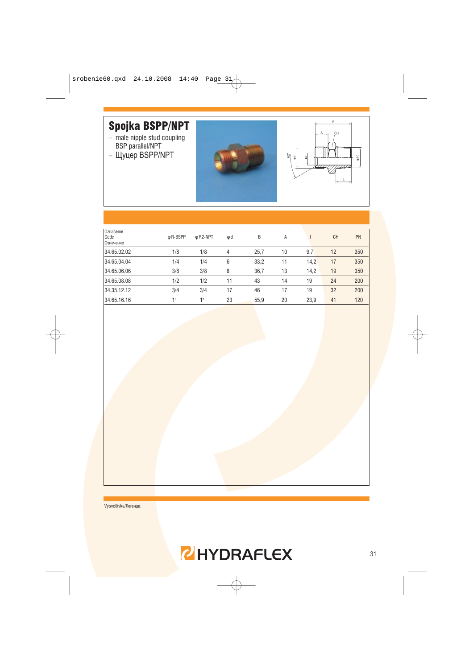#### **Spojka BSPP/NPT**

- male nipple stud coupling<br>BSP parallel/NPT
- Щуцер BSPP/NPT





| φ R-BSPP | φ R <sub>2</sub> -NPT | φd             | B    | Α  |      | <b>CH</b> | PN  |
|----------|-----------------------|----------------|------|----|------|-----------|-----|
| 1/8      | 1/8                   | $\overline{4}$ | 25,7 | 10 | 9,7  | 12        | 350 |
| 1/4      | 1/4                   | 6              | 33,2 | 11 | 14,2 | 17        | 350 |
| 3/8      | 3/8                   | 8              | 36,7 | 13 | 14,2 | 19        | 350 |
| 1/2      | 1/2                   | 11             | 43   | 14 | 19   | 24        | 200 |
| 3/4      | 3/4                   | 17             | 46   | 17 | 19   | 32        | 200 |
| 18       | 48                    | 23             | 55,9 | 20 | 23,9 | 41        | 120 |
|          |                       |                |      |    |      |           |     |

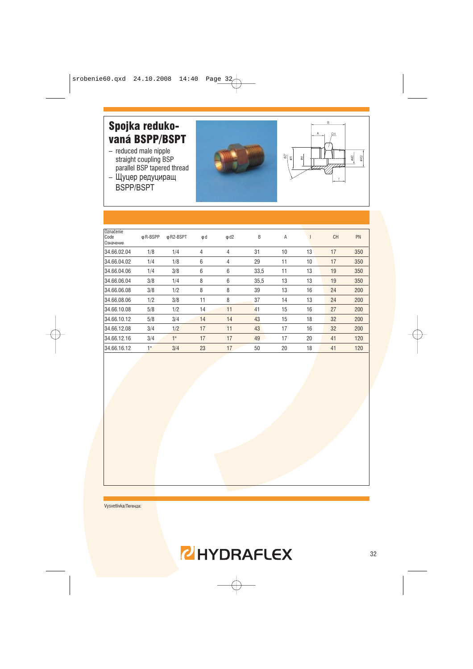#### Spojka redukovaná BSPP/BSPT

- reduced male nipple straight coupling BSP parallel BSP tapered thread
- Щуцер редуциращ BSPP/BSPT





| φ R-BSPP | ф R2-BSPT | φd | $\phi$ d2 | B    | A  |    | <b>CH</b> | PN  |
|----------|-----------|----|-----------|------|----|----|-----------|-----|
| 1/8      | 1/4       | 4  | 4         | 31   | 10 | 13 | 17        | 350 |
| 1/4      | 1/8       | 6  | 4         | 29   | 11 | 10 | 17        | 350 |
| 1/4      | 3/8       | 6  | 6         | 33,5 | 11 | 13 | 19        | 350 |
| 3/8      | 1/4       | 8  | 6         | 35,5 | 13 | 13 | 19        | 350 |
| 3/8      | 1/2       | 8  | 8         | 39   | 13 | 16 | 24        | 200 |
| 1/2      | 3/8       | 11 | 8         | 37   | 14 | 13 | 24        | 200 |
| 5/8      | 1/2       | 14 | 11        | 41   | 15 | 16 | 27        | 200 |
| 5/8      | 3/4       | 14 | 14        | 43   | 15 | 18 | 32        | 200 |
| 3/4      | 1/2       | 17 | 11        | 43   | 17 | 16 | 32        | 200 |
| 3/4      | 1"        | 17 | 17        | 49   | 17 | 20 | 41        | 120 |
| 1"       | 3/4       | 23 | 17        | 50   | 20 | 18 | 41        | 120 |
|          |           |    |           |      |    |    |           |     |

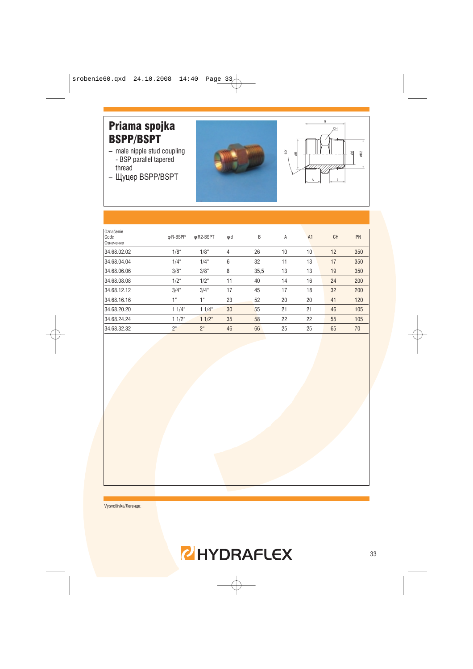#### Priama spojka **BSPP/BSPT**

- male nipple stud coupling<br>- BSP parallel tapered thread
- Щуцер BSPP/BSPT





| Označenie<br>Code<br>Означение | φ R-BSPP         | ф R2-BSPT        | φd             | B    | A  | A <sub>1</sub> | <b>CH</b> | PN  |
|--------------------------------|------------------|------------------|----------------|------|----|----------------|-----------|-----|
| 34.68.02.02                    | 1/8 <sup>4</sup> | 1/8 <sup>4</sup> | $\overline{4}$ | 26   | 10 | 10             | 12        | 350 |
| 34.68.04.04                    | $1/4$ "          | $1/4$ "          | 6              | 32   | 11 | 13             | 17        | 350 |
| 34.68.06.06                    | $3/8$ "          | $3/8$ "          | 8              | 35,5 | 13 | 13             | 19        | 350 |
| 34.68.08.08                    | $1/2^{\circ}$    | $1/2^{\circ}$    | 11             | 40   | 14 | 16             | 24        | 200 |
| 34.68.12.12                    | $3/4$ "          | $3/4$ "          | 17             | 45   | 17 | 18             | 32        | 200 |
| 34.68.16.16                    | 1 <sup>ii</sup>  | 1 <sup>u</sup>   | 23             | 52   | 20 | 20             | 41        | 120 |
| 34.68.20.20                    | $11/4$ "         | $11/4$ "         | 30             | 55   | 21 | 21             | 46        | 105 |
| 34.68.24.24                    | $11/2$ "         | $11/2$ "         | 35             | 58   | 22 | 22             | 55        | 105 |
| 34.68.32.32                    | $2^{\circ}$      | 2 <sup>u</sup>   | 46             | 66   | 25 | 25             | 65        | 70  |
|                                |                  |                  |                |      |    |                |           |     |

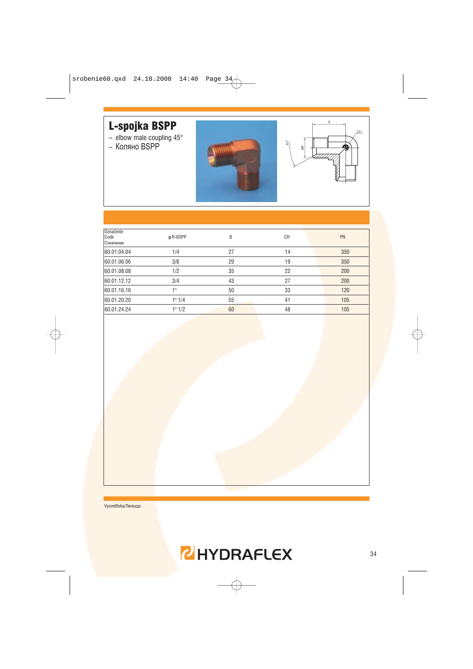

| Označenie<br>Code<br>Означение | φ R-BSPP        | B  | <b>CH</b> | PN  |
|--------------------------------|-----------------|----|-----------|-----|
| 60.01.04.04                    | 1/4             | 27 | 14        | 350 |
| 60.01.06.06                    | 3/8             | 29 | 19        | 350 |
| 60.01.08.08                    | 1/2             | 35 | 22        | 200 |
| 60.01.12.12                    | 3/4             | 43 | 27        | 200 |
| 60.01.16.16                    | 1 <sup>II</sup> | 50 | 33        | 120 |
| 60.01.20.20                    | 1" 1/4          | 55 | 41        | 105 |
| 60.01.24.24                    | 1" 1/2          | 60 | 48        | 105 |
|                                |                 |    |           |     |

Vysvetlivka/Легенда:



'nц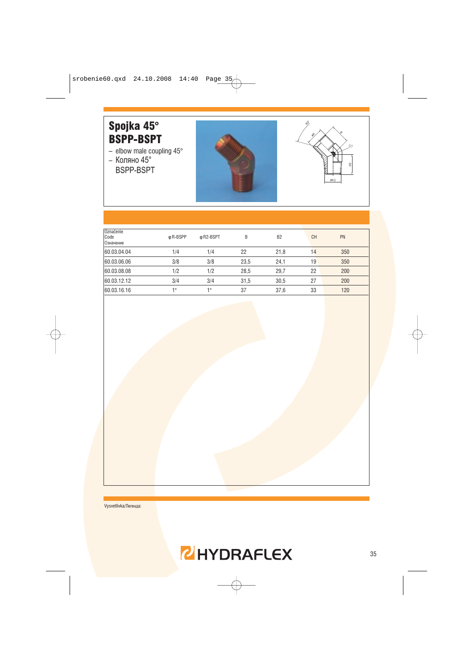#### Spojka 45° **BSPP-BSPT**

- elbow male coupling  $45^{\circ}$ <br>- Коляно  $45^{\circ}$
- BSPP-BSPT





| Označenie<br>Code<br>Означение | φ R-BSPP | ф R2-BSPT | B    | B <sub>2</sub> | <b>CH</b> | PN  |
|--------------------------------|----------|-----------|------|----------------|-----------|-----|
| 60.03.04.04                    | 1/4      | 1/4       | 22   | 21,8           | 14        | 350 |
| 60.03.06.06                    | 3/8      | 3/8       | 23,5 | 24,1           | 19        | 350 |
| 60.03.08.08                    | 1/2      | 1/2       | 28,5 | 29,7           | 22        | 200 |
| 60.03.12.12                    | 3/4      | 3/4       | 31,5 | 30,5           | 27        | 200 |
| 60.03.16.16                    | 1 !!     | 48        | 37   | 37,6           | 33        | 120 |
|                                |          |           |      |                |           |     |

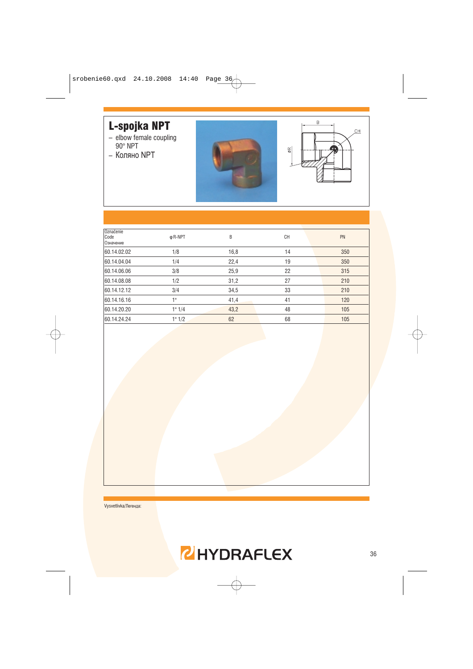# L-spojka NPT

- $-$  elbow female coupling<br>90° NPT
- Коляно NPT





| Označenie<br>Code<br>Означение | φ R-NPT | B    | <b>CH</b> | PN  |
|--------------------------------|---------|------|-----------|-----|
| 60.14.02.02                    | 1/8     | 16,8 | 14        | 350 |
| 60.14.04.04                    | 1/4     | 22,4 | 19        | 350 |
| 60.14.06.06                    | 3/8     | 25,9 | 22        | 315 |
| 60.14.08.08                    | 1/2     | 31,2 | 27        | 210 |
| 60.14.12.12                    | 3/4     | 34,5 | 33        | 210 |
| 60.14.16.16                    | 1"      | 41,4 | 41        | 120 |
| 60.14.20.20                    | 1" 1/4  | 43,2 | 48        | 105 |
| 60.14.24.24                    | 1" 1/2  | 62   | 68        | 105 |
|                                |         |      |           |     |

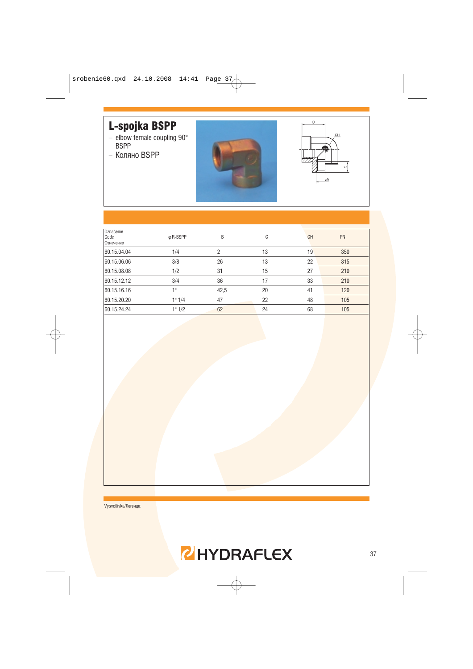# L-spojka BSPP

- $-$  elbow female coupling 90 $^{\circ}$ <br>BSPP
- Коляно BSPP





| Označenie<br>Code<br>Означение | φ R-BSPP | B    | С  | CH | PN  |
|--------------------------------|----------|------|----|----|-----|
| 60.15.04.04                    | 1/4      | 2    | 13 | 19 | 350 |
| 60.15.06.06                    | 3/8      | 26   | 13 | 22 | 315 |
| 60.15.08.08                    | 1/2      | 31   | 15 | 27 | 210 |
| 60.15.12.12                    | 3/4      | 36   | 17 | 33 | 210 |
| 60.15.16.16                    | 1"       | 42,5 | 20 | 41 | 120 |
| 60.15.20.20                    | 1" 1/4   | 47   | 22 | 48 | 105 |
| 60.15.24.24                    | 1" 1/2   | 62   | 24 | 68 | 105 |
|                                |          |      |    |    |     |

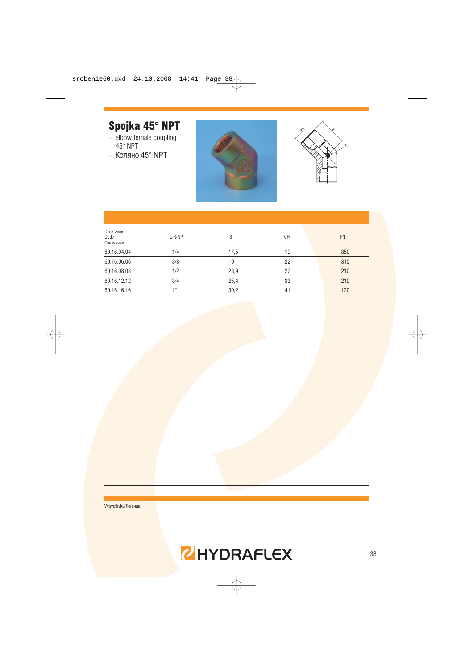# Spojka 45° NPT

- elbow female coupling<br> $45^{\circ}$  NPT
- Коляно 45° NPT





| Označenie   |         |      |           |     |
|-------------|---------|------|-----------|-----|
| Code        | φ R-NPT | B    | <b>CH</b> | PN  |
| Означение   |         |      |           |     |
| 60.16.04.04 | 1/4     | 17,5 | 19        | 350 |
|             |         |      |           |     |
| 60.16.06.06 | 3/8     | 19   | 22        | 315 |
| 60.16.08.08 | 1/2     | 23,9 | 27        | 210 |
|             |         |      |           |     |
| 60.16.12.12 | 3/4     | 25,4 | 33        | 210 |
| 60.16.16.16 | 1 H     | 30,2 | 41        | 120 |
|             |         |      |           |     |

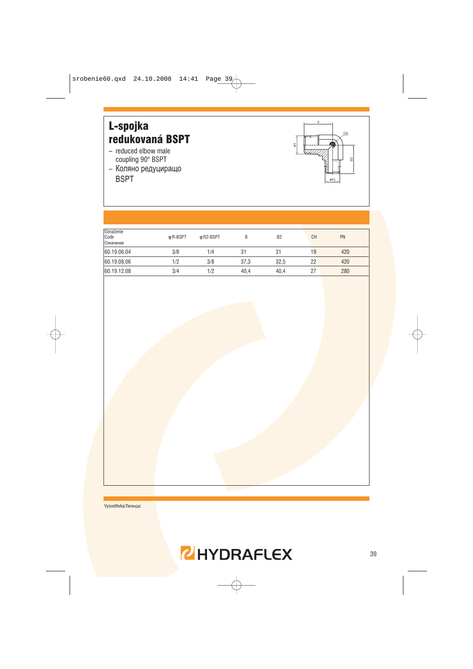

| Označenie<br>Code<br>Означение | φ R-BSPT | ф R2-BSPT | B    | B <sub>2</sub> | <b>CH</b> | PN  |
|--------------------------------|----------|-----------|------|----------------|-----------|-----|
| 60.19.06.04                    | 3/8      | 1/4       | 31   | 31             | 19        | 420 |
| 60.19.08.06                    | 1/2      | 3/8       | 37.3 | 32,5           | 22        | 420 |
| 60.19.12.08                    | 3/4      | 1/2       | 40.4 | 40.4           | 27        | 280 |

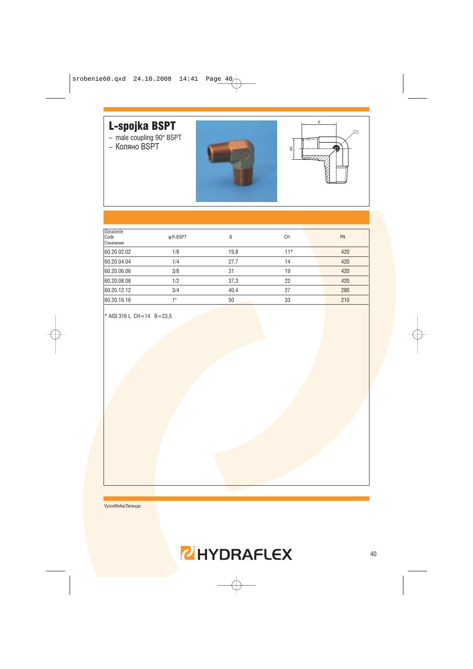

| Označenie<br>Code<br>Означение | φ R-BSPT        | B    | <b>CH</b> | PN  |
|--------------------------------|-----------------|------|-----------|-----|
| 60.20.02.02                    | 1/8             | 19,8 | $11*$     | 420 |
| 60.20.04.04                    | 1/4             | 27,7 | 14        | 420 |
| 60.20.06.06                    | 3/8             | 31   | 19        | 420 |
| 60.20.08.08                    | 1/2             | 37,3 | 22        | 420 |
| 60.20.12.12                    | 3/4             | 40,4 | 27        | 280 |
| 60.20.16.16                    | 4 <sub>II</sub> | 50   | 33        | 210 |
|                                |                 |      |           |     |

\* AISI 316 L CH=14 B=23,5

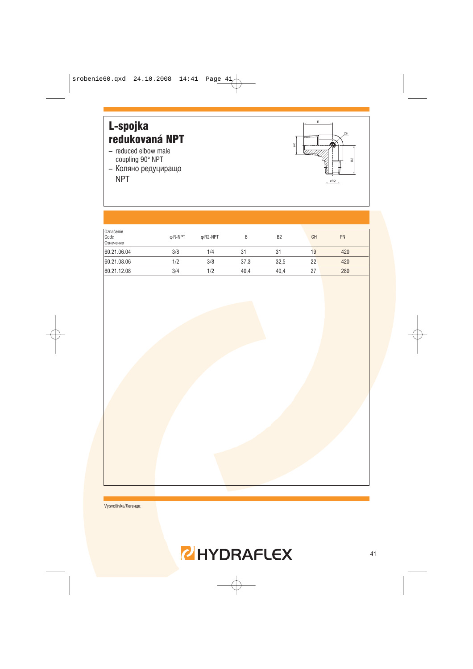

| Označenie<br>Code<br>Означение | φ R-NPT | φ R2-NPT | В    | B <sub>2</sub> | <b>CH</b> | PN  |
|--------------------------------|---------|----------|------|----------------|-----------|-----|
| 60.21.06.04                    | 3/8     | 1/4      | 31   | 31             | 19        | 420 |
| 60.21.08.06                    | 1/2     | 3/8      | 37,3 | 32,5           | 22        | 420 |
| 60.21.12.08                    | 3/4     | 1/2      | 40.4 | 40.4           | 27        | 280 |

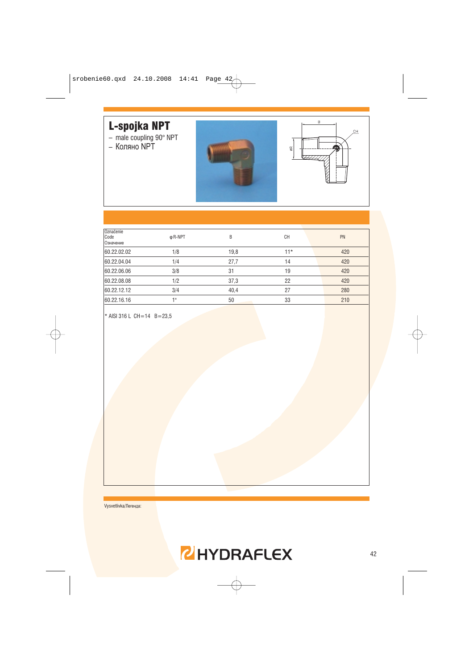# L-spojka NPT

- male coupling 90° NPT<br>- Коляно NPT
- 





| Označenie<br>Code<br>Означение | φ R-NPT | B    | <b>CH</b> | PN  |
|--------------------------------|---------|------|-----------|-----|
| 60.22.02.02                    | 1/8     | 19,8 | $11*$     | 420 |
| 60.22.04.04                    | 1/4     | 27,7 | 14        | 420 |
| 60.22.06.06                    | 3/8     | 31   | 19        | 420 |
| 60.22.08.08                    | 1/2     | 37,3 | 22        | 420 |
| 60.22.12.12                    | 3/4     | 40,4 | 27        | 280 |
| 60.22.16.16                    | 4 !!    | 50   | 33        | 210 |
|                                |         |      |           |     |

\* AISI 316 L CH=14 B=23,5

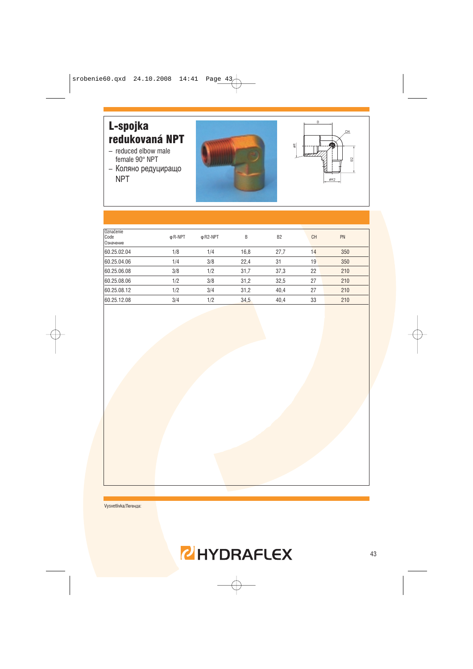#### L-spojka redukovaná NPT

- reduced elbow male female 90° NPT
- Коляно редуциращо **NPT**





| Označenie<br>Code<br>Означение | φ R-NPT | φ R <sub>2</sub> -NPT | B    | B <sub>2</sub> | CH | PN  |
|--------------------------------|---------|-----------------------|------|----------------|----|-----|
| 60.25.02.04                    | 1/8     | 1/4                   | 16,8 | 27,7           | 14 | 350 |
| 60.25.04.06                    | 1/4     | 3/8                   | 22,4 | 31             | 19 | 350 |
| 60.25.06.08                    | 3/8     | 1/2                   | 31,7 | 37,3           | 22 | 210 |
| 60.25.08.06                    | 1/2     | 3/8                   | 31,2 | 32,5           | 27 | 210 |
| 60.25.08.12                    | 1/2     | 3/4                   | 31,2 | 40,4           | 27 | 210 |
| 60.25.12.08                    | 3/4     | 1/2                   | 34,5 | 40,4           | 33 | 210 |
|                                |         |                       |      |                |    |     |

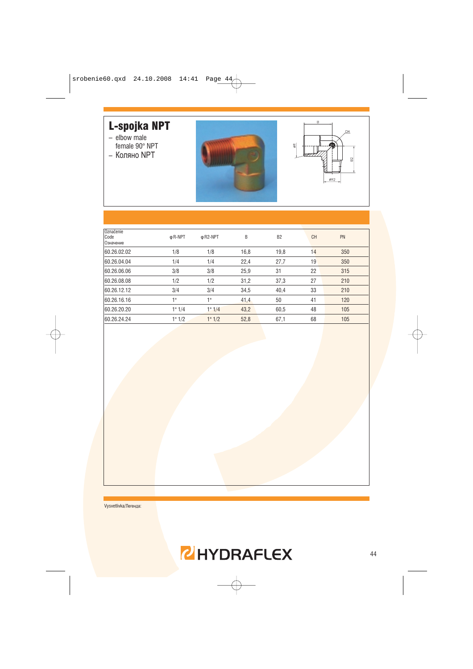# L-spojka NPT

- $-$  elbow male
- female 90° NPT - Коляно NPT





| Označenie<br>Code<br>Означение | φ R-NPT | φ R <sub>2</sub> -NPT | B    | B <sub>2</sub> | <b>CH</b> | PN  |
|--------------------------------|---------|-----------------------|------|----------------|-----------|-----|
| 60.26.02.02                    | 1/8     | 1/8                   | 16,8 | 19,8           | 14        | 350 |
| 60.26.04.04                    | 1/4     | 1/4                   | 22,4 | 27,7           | 19        | 350 |
| 60.26.06.06                    | 3/8     | 3/8                   | 25,9 | 31             | 22        | 315 |
| 60.26.08.08                    | 1/2     | 1/2                   | 31,2 | 37,3           | 27        | 210 |
| 60.26.12.12                    | 3/4     | 3/4                   | 34,5 | 40,4           | 33        | 210 |
| 60.26.16.16                    | 1"      | 1"                    | 41,4 | 50             | 41        | 120 |
| 60.26.20.20                    | 1" 1/4  | 1" 1/4                | 43,2 | 60,5           | 48        | 105 |
| 60.26.24.24                    | 1" 1/2  | 1" 1/2                | 52,8 | 67,1           | 68        | 105 |
|                                |         |                       |      |                |           |     |

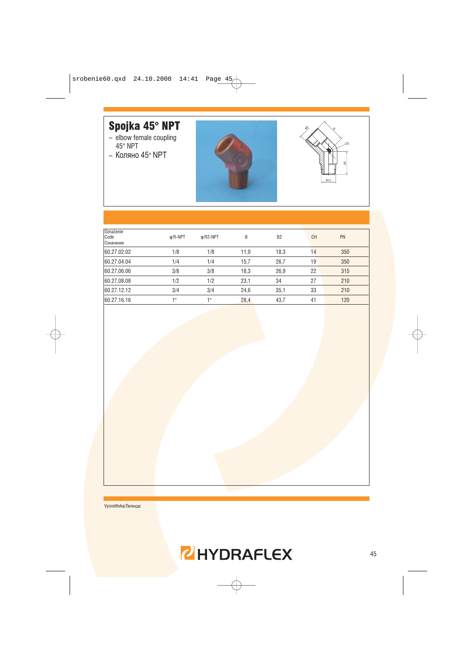# Spojka 45° NPT

- elbow female coupling<br> $45^{\circ}$  NPT
- Коляно 45° NPT





| Označenie<br>Code<br>Означение | φ R-NPT | φ R <sub>2</sub> -NPT | B    | B <sub>2</sub> | <b>CH</b> | PN  |
|--------------------------------|---------|-----------------------|------|----------------|-----------|-----|
| 60.27.02.02                    | 1/8     | 1/8                   | 11,9 | 18,3           | 14        | 350 |
| 60.27.04.04                    | 1/4     | 1/4                   | 15,7 | 26,7           | 19        | 350 |
| 60.27.06.06                    | 3/8     | 3/8                   | 18,3 | 26,9           | 22        | 315 |
| 60.27.08.08                    | 1/2     | 1/2                   | 23,1 | 34             | 27        | 210 |
| 60.27.12.12                    | 3/4     | 3/4                   | 24,6 | 35,1           | 33        | 210 |
| 60.27.16.16                    | 1"      | 48                    | 28,4 | 43,7           | 41        | 120 |

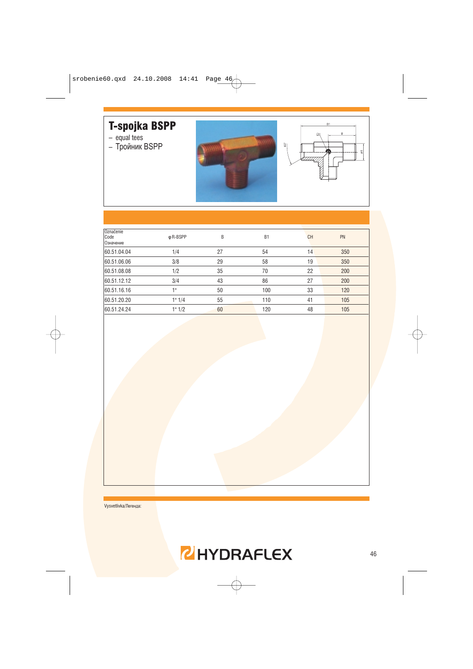# T-spojka BSPP

- equal tees
- Тройник BSPP





| Označenie<br>Code<br>Означение | φ R-BSPP | B  | B <sub>1</sub> | <b>CH</b> | PN  |
|--------------------------------|----------|----|----------------|-----------|-----|
| 60.51.04.04                    | 1/4      | 27 | 54             | 14        | 350 |
| 60.51.06.06                    | 3/8      | 29 | 58             | 19        | 350 |
| 60.51.08.08                    | 1/2      | 35 | 70             | 22        | 200 |
| 60.51.12.12                    | 3/4      | 43 | 86             | 27        | 200 |
| 60.51.16.16                    | 1"       | 50 | 100            | 33        | 120 |
| 60.51.20.20                    | 1" 1/4   | 55 | 110            | 41        | 105 |
| 60.51.24.24                    | 1" 1/2   | 60 | 120            | 48        | 105 |
|                                |          |    |                |           |     |

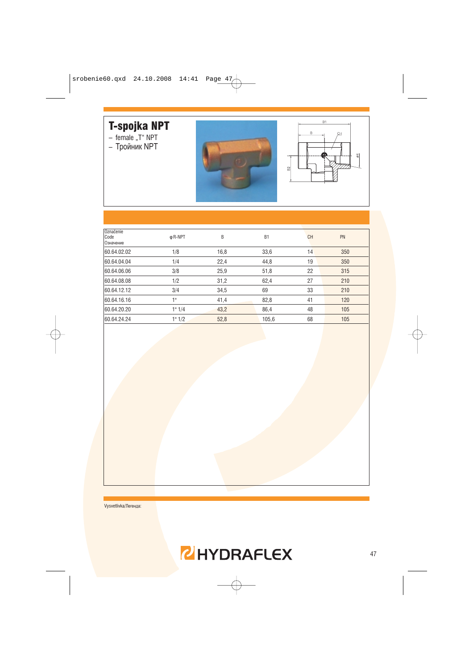# T-spojka NPT<br>- female "T" NPT<br>- Тройник NPT

- 
- 





| Označenie<br>Code<br>Означение | φ R-NPT | B    | <b>B1</b> | <b>CH</b> | PN  |
|--------------------------------|---------|------|-----------|-----------|-----|
| 60.64.02.02                    | 1/8     | 16,8 | 33,6      | 14        | 350 |
| 60.64.04.04                    | 1/4     | 22,4 | 44,8      | 19        | 350 |
| 60.64.06.06                    | 3/8     | 25,9 | 51,8      | 22        | 315 |
| 60.64.08.08                    | 1/2     | 31,2 | 62,4      | 27        | 210 |
| 60.64.12.12                    | 3/4     | 34,5 | 69        | 33        | 210 |
| 60.64.16.16                    | 1"      | 41,4 | 82,8      | 41        | 120 |
| 60.64.20.20                    | 1" 1/4  | 43,2 | 86,4      | 48        | 105 |
| 60.64.24.24                    | 1" 1/2  | 52,8 | 105,6     | 68        | 105 |

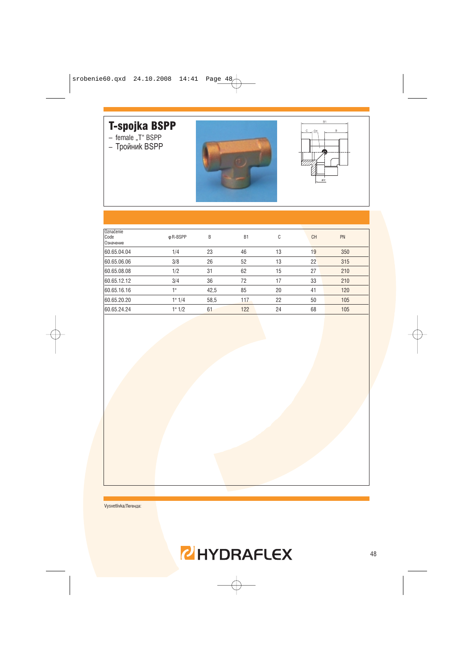# T-spojka BSPP

- female "T" BSPP<br>- Тройник BSPP





| Označenie<br>Code<br>Означение | φ R-BSPP | B    | B <sub>1</sub> | C  | <b>CH</b> | PN  |
|--------------------------------|----------|------|----------------|----|-----------|-----|
| 60.65.04.04                    | 1/4      | 23   | 46             | 13 | 19        | 350 |
| 60.65.06.06                    | 3/8      | 26   | 52             | 13 | 22        | 315 |
| 60.65.08.08                    | 1/2      | 31   | 62             | 15 | 27        | 210 |
| 60.65.12.12                    | 3/4      | 36   | 72             | 17 | 33        | 210 |
| 60.65.16.16                    | 1 !!     | 42,5 | 85             | 20 | 41        | 120 |
| 60.65.20.20                    | 1" 1/4   | 58,5 | 117            | 22 | 50        | 105 |
| 60.65.24.24                    | 1" 1/2   | 61   | 122            | 24 | 68        | 105 |
|                                |          |      |                |    |           |     |

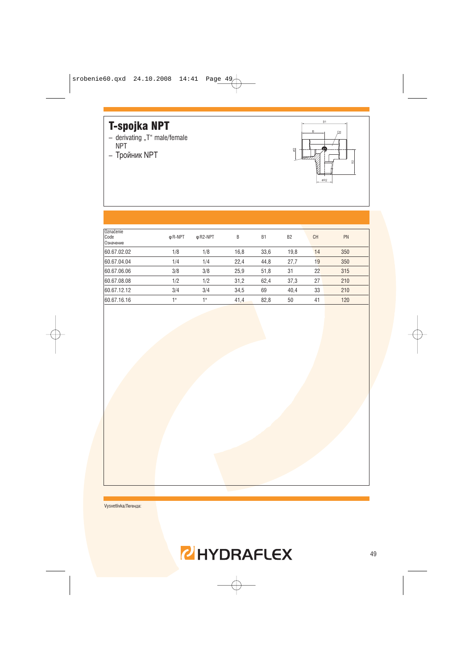# **T-spojka NPT**

- derivating "T" male/female<br>NPT
- Тройник NPT



| Označenie<br>Code<br>Означение | φ R-NPT         | φ R <sub>2</sub> -NPT | B    | B <sub>1</sub> | B <sub>2</sub> | <b>CH</b> | PN  |
|--------------------------------|-----------------|-----------------------|------|----------------|----------------|-----------|-----|
| 60.67.02.02                    | 1/8             | 1/8                   | 16,8 | 33,6           | 19,8           | 14        | 350 |
| 60.67.04.04                    | 1/4             | 1/4                   | 22,4 | 44,8           | 27,7           | 19        | 350 |
| 60.67.06.06                    | 3/8             | 3/8                   | 25,9 | 51,8           | 31             | 22        | 315 |
| 60.67.08.08                    | 1/2             | 1/2                   | 31,2 | 62,4           | 37,3           | 27        | 210 |
| 60.67.12.12                    | 3/4             | 3/4                   | 34,5 | 69             | 40,4           | 33        | 210 |
| 60.67.16.16                    | 1 <sup>II</sup> | 1"                    | 41,4 | 82,8           | 50             | 41        | 120 |

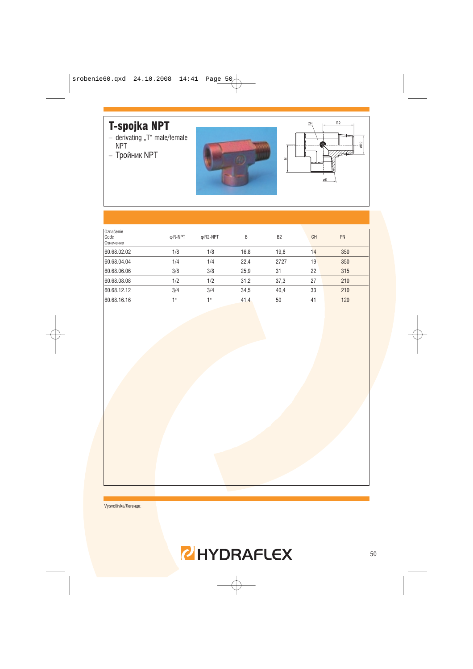# **T-spojka NPT**

- derivating "T" male/female<br>NPT
- Тройник NPT





| Označenie<br>Code<br>Означение | φ R-NPT | φ R <sub>2</sub> -NPT | B    | B <sub>2</sub> | <b>CH</b> | PN  |
|--------------------------------|---------|-----------------------|------|----------------|-----------|-----|
| 60.68.02.02                    | 1/8     | 1/8                   | 16,8 | 19,8           | 14        | 350 |
| 60.68.04.04                    | 1/4     | 1/4                   | 22,4 | 2727           | 19        | 350 |
| 60.68.06.06                    | 3/8     | 3/8                   | 25,9 | 31             | 22        | 315 |
| 60.68.08.08                    | 1/2     | 1/2                   | 31,2 | 37,3           | 27        | 210 |
| 60.68.12.12                    | 3/4     | 3/4                   | 34,5 | 40,4           | 33        | 210 |
| 60.68.16.16                    | 1 !!    | 1 !!                  | 41,4 | 50             | 41        | 120 |